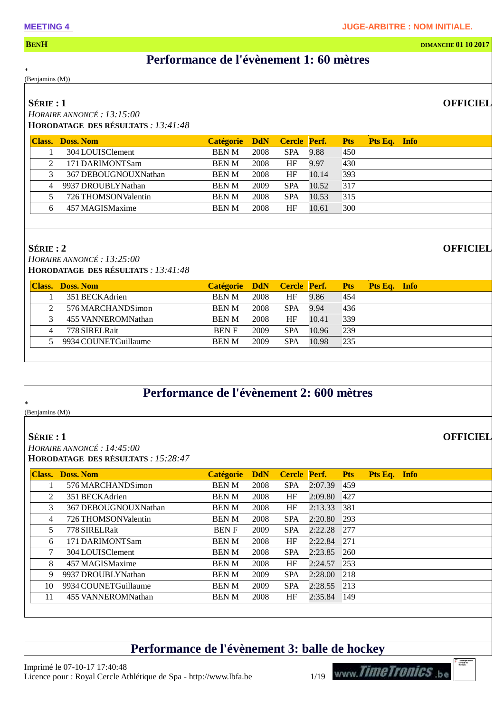#### **BENH DIMANCHE 01 10 2017**

### **Performance de l'évènement 1: 60 mètres**

\* (Benjamins (M))

#### **SÉRIE : 1**

*HORAIRE ANNONCÉ : 13:15:00* **HORODATAGE DES RÉSULTATS** *: 13:41:48*

| <b>Class.</b> | <b>Doss. Nom</b>     | <b>Catégorie</b> | <b>DdN</b> | <b>Cercle Perf.</b> |       | <b>Pts</b> | Pts Eq. Info |  |
|---------------|----------------------|------------------|------------|---------------------|-------|------------|--------------|--|
|               | 304 LOUISClement     | <b>BEN M</b>     | 2008       | <b>SPA</b>          | 9.88  | 450        |              |  |
|               | 171 DARIMONTSam      | <b>BEN M</b>     | 2008       | HF                  | 9.97  | 430        |              |  |
|               | 367 DEBOUGNOUXNathan | <b>BEN M</b>     | 2008       | HF                  | 10.14 | 393        |              |  |
| 4             | 9937 DROUBLYNathan   | <b>BEN M</b>     | 2009       | <b>SPA</b>          | 10.52 | 317        |              |  |
|               | 726 THOMSONValentin  | <b>BEN M</b>     | 2008       | <b>SPA</b>          | 10.53 | 315        |              |  |
|               | 457 MAGISMaxime      | <b>BEN M</b>     | 2008       | HF                  | 10.61 | 300        |              |  |
|               |                      |                  |            |                     |       |            |              |  |

#### **SÉRIE : 2**

*HORAIRE ANNONCÉ : 13:25:00* **HORODATAGE DES RÉSULTATS** *: 13:41:48*

|   | <b>Class.</b> Doss. Nom | Catégorie DdN Cercle Perf. |      |            |       | <b>Pts</b> | <b>Pts Eq.</b> Info |  |
|---|-------------------------|----------------------------|------|------------|-------|------------|---------------------|--|
|   | 351 BECKAdrien          | <b>BEN M</b>               | 2008 | HF         | 9.86  | 454        |                     |  |
|   | 576 MARCHANDSimon       | <b>BEN M</b>               | 2008 | <b>SPA</b> | 9.94  | 436        |                     |  |
|   | 455 VANNEROMNathan      | <b>BEN M</b>               | 2008 | HF         | 10.41 | 339        |                     |  |
| 4 | 778 SIRELRait           | <b>BEN F</b>               | 2009 | <b>SPA</b> | 10.96 | 239        |                     |  |
|   | 5 9934 COUNET Guillaume | <b>BEN M</b>               | 2009 | <b>SPA</b> | 10.98 | 235        |                     |  |

### **Performance de l'évènement 2: 600 mètres**

\* (Benjamins (M))

#### **SÉRIE : 1**

*HORAIRE ANNONCÉ : 14:45:00* **HORODATAGE DES RÉSULTATS** *: 15:28:47*

| <b>Class.</b> | <b>Doss. Nom</b>     | <b>Catégorie</b> | <b>DdN</b> | Cercle Perf. |         | <b>Pts</b> | Pts Eq. Info |  |
|---------------|----------------------|------------------|------------|--------------|---------|------------|--------------|--|
|               | 576 MARCHANDSimon    | <b>BEN M</b>     | 2008       | <b>SPA</b>   | 2:07.39 | 459        |              |  |
| 2             | 351 BECKAdrien       | <b>BEN M</b>     | 2008       | HF           | 2:09.80 | 427        |              |  |
| 3             | 367 DEBOUGNOUXNathan | <b>BEN M</b>     | 2008       | HF           | 2:13.33 | 381        |              |  |
| 4             | 726 THOMSONValentin  | <b>BEN M</b>     | 2008       | <b>SPA</b>   | 2:20.80 | 293        |              |  |
| 5             | 778 SIRELRait        | <b>BENF</b>      | 2009       | <b>SPA</b>   | 2:22.28 | 277        |              |  |
| 6             | 171 DARIMONTSam      | <b>BENM</b>      | 2008       | HF           | 2:22.84 | 271        |              |  |
| 7             | 304 LOUISClement     | <b>BEN M</b>     | 2008       | <b>SPA</b>   | 2:23.85 | 260        |              |  |
| 8             | 457 MAGISMaxime      | <b>BEN M</b>     | 2008       | HF           | 2:24.57 | 253        |              |  |
| 9             | 9937 DROUBLYNathan   | <b>BEN M</b>     | 2009       | <b>SPA</b>   | 2:28.00 | 218        |              |  |
| 10            | 9934 COUNETGuillaume | <b>BEN M</b>     | 2009       | <b>SPA</b>   | 2:28.55 | 213        |              |  |
| 11            | 455 VANNEROMNathan   | <b>BEN M</b>     | 2008       | HF           | 2:35.84 | 149        |              |  |
|               |                      |                  |            |              |         |            |              |  |

### **Performance de l'évènement 3: balle de hockey**



#### **OFFICIEL**

**OFFICIEL**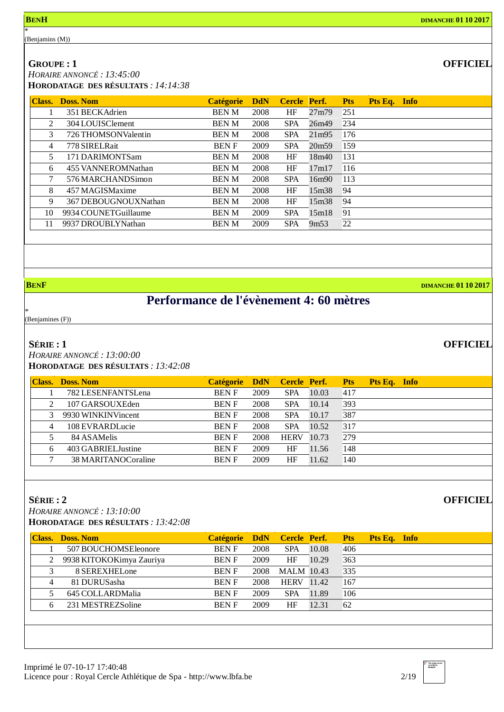**GROUPE : 1**

*HORAIRE ANNONCÉ : 13:45:00* **HORODATAGE DES RÉSULTATS** *: 14:14:38*

| <b>Class.</b>  | <b>Doss, Nom</b>     | <b>Catégorie</b> | <b>DdN</b> | Cercle Perf. |                   | <b>Pts</b> | Pts Eq. Info |  |
|----------------|----------------------|------------------|------------|--------------|-------------------|------------|--------------|--|
|                | 351 BECKAdrien       | <b>BEN M</b>     | 2008       | HF           | 27m79             | 251        |              |  |
| 2              | 304 LOUISClement     | <b>BEN M</b>     | 2008       | <b>SPA</b>   | 26m49             | 234        |              |  |
| 3              | 726 THOMSONValentin  | <b>BEN M</b>     | 2008       | <b>SPA</b>   | 21m95             | 176        |              |  |
| $\overline{4}$ | 778 SIRELRait        | <b>BENF</b>      | 2009       | <b>SPA</b>   | 20m <sub>59</sub> | 159        |              |  |
| 5              | 171 DARIMONTSam      | <b>BEN M</b>     | 2008       | HF           | 18m40             | 131        |              |  |
| 6              | 455 VANNEROMNathan   | <b>BEN M</b>     | 2008       | HF           | 17m17             | 116        |              |  |
| 7              | 576 MARCHANDSimon    | <b>BEN M</b>     | 2008       | <b>SPA</b>   | 16m90             | 113        |              |  |
| 8              | 457 MAGISMaxime      | <b>BEN M</b>     | 2008       | HF           | 15m38             | 94         |              |  |
| 9              | 367 DEBOUGNOUXNathan | <b>BEN M</b>     | 2008       | HF           | 15m38             | 94         |              |  |
| 10             | 9934 COUNETGuillaume | <b>BEN M</b>     | 2009       | <b>SPA</b>   | 15m18             | 91         |              |  |
| 11             | 9937 DROUBLYNathan   | <b>BEN M</b>     | 2009       | <b>SPA</b>   | 9m53              | 22         |              |  |

\*

**B**ENF **DIMANCHE 01 10 2017** 

**OFFICIEL**

**OFFICIEL**

# **Performance de l'évènement 4: 60 mètres**

(Benjamines (F))

#### **SÉRIE : 1**

*HORAIRE ANNONCÉ : 13:00:00* **HORODATAGE DES RÉSULTATS** *: 13:42:08*

| <b>Class.</b>  | Doss. Nom           | <b>Catégorie</b> | <b>DdN</b> | Cercle Perf. |       | <b>Pts</b> | Pts Eq. Info |  |
|----------------|---------------------|------------------|------------|--------------|-------|------------|--------------|--|
|                | 782 LESENFANTSLena  | <b>BENF</b>      | 2009       | <b>SPA</b>   | 10.03 | 417        |              |  |
| 2              | 107 GARSOUXEden     | <b>BENF</b>      | 2008       | <b>SPA</b>   | 10.14 | 393        |              |  |
|                | 9930 WINKINVincent  | <b>BENF</b>      | 2008       | <b>SPA</b>   | 10.17 | 387        |              |  |
| $\overline{4}$ | 108 EVRARDLucie     | <b>BENF</b>      | 2008       | <b>SPA</b>   | 10.52 | 317        |              |  |
|                | 84 ASAMelis         | <b>BENF</b>      | 2008       | <b>HERV</b>  | 10.73 | 279        |              |  |
| 6              | 403 GABRIEL Justine | <b>BENF</b>      | 2009       | HF           | 11.56 | 148        |              |  |
|                | 38 MARITANOCoraline | <b>BENF</b>      | 2009       | HF           | 11.62 | 140        |              |  |
|                |                     |                  |            |              |       |            |              |  |

#### **SÉRIE : 2**

*HORAIRE ANNONCÉ : 13:10:00*

**HORODATAGE DES RÉSULTATS** *: 13:42:08*

| Class. | <b>Doss, Nom</b>         | <b>Catégorie</b> | <b>DdN</b> | Cercle Perf.      |       | <b>Pts</b> | Pts Eq. Info |  |
|--------|--------------------------|------------------|------------|-------------------|-------|------------|--------------|--|
|        | 507 BOUCHOMSEleonore     | <b>BENF</b>      | 2008       | <b>SPA</b>        | 10.08 | 406        |              |  |
|        | 9938 KITOKOKimya Zauriya | <b>BENF</b>      | 2009       | HF                | 10.29 | 363        |              |  |
|        | 8 SEREXHELone            | <b>BENF</b>      | 2008       | <b>MALM</b> 10.43 |       | 335        |              |  |
| 4      | 81 DURUSasha             | <b>BENF</b>      | 2008       | <b>HERV</b> 11.42 |       | 167        |              |  |
|        | 645 COLLARDMalia         | <b>BENF</b>      | 2009       | <b>SPA</b>        | 11.89 | 106        |              |  |
| 6      | 231 MESTREZSoline        | <b>BENF</b>      | 2009       | HF                | 12.31 | 62         |              |  |
|        |                          |                  |            |                   |       |            |              |  |
|        |                          |                  |            |                   |       |            |              |  |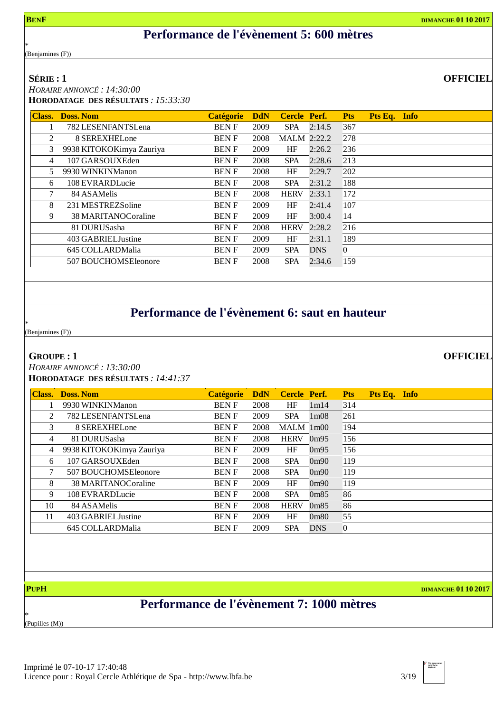**OFFICIEL**

### **Performance de l'évènement 5: 600 mètres**

\* (Benjamines (F))

#### **SÉRIE : 1**

*HORAIRE ANNONCÉ : 14:30:00* **HORODATAGE DES RÉSULTATS** *: 15:33:30*

| <b>Class.</b> | <b>Doss, Nom</b>         | <b>Catégorie</b> | <b>DdN</b> | <b>Cercle Perf.</b> |            | <b>Pts</b> | Pts Eq. Info |  |
|---------------|--------------------------|------------------|------------|---------------------|------------|------------|--------------|--|
|               | 782 LESENFANTSLena       | <b>BENF</b>      | 2009       | SPA                 | 2:14.5     | 367        |              |  |
| 2             | 8 SEREXHELone            | <b>BENF</b>      | 2008       | <b>MALM</b> 2:22.2  |            | 278        |              |  |
| 3             | 9938 KITOKOKimya Zauriya | <b>BENF</b>      | 2009       | HF                  | 2:26.2     | 236        |              |  |
| 4             | 107 GARSOUXEden          | <b>BENF</b>      | 2008       | <b>SPA</b>          | 2:28.6     | 213        |              |  |
| 5             | 9930 WINKINManon         | <b>BENF</b>      | 2008       | HF                  | 2:29.7     | 202        |              |  |
| 6             | 108 EVRARDLucie          | <b>BENF</b>      | 2008       | <b>SPA</b>          | 2:31.2     | 188        |              |  |
| 7             | 84 ASAMelis              | <b>BENF</b>      | 2008       | <b>HERV</b>         | 2:33.1     | 172        |              |  |
| 8             | 231 MESTREZSoline        | <b>BENF</b>      | 2009       | HF                  | 2:41.4     | 107        |              |  |
| 9             | 38 MARITANOCoraline      | <b>BENF</b>      | 2009       | HF                  | 3:00.4     | 14         |              |  |
|               | 81 DURUSasha             | <b>BENF</b>      | 2008       | <b>HERV</b>         | 2:28.2     | 216        |              |  |
|               | 403 GABRIEL Justine      | <b>BENF</b>      | 2009       | HF                  | 2:31.1     | 189        |              |  |
|               | 645 COLLARDMalia         | <b>BENF</b>      | 2009       | <b>SPA</b>          | <b>DNS</b> | $\Omega$   |              |  |
|               | 507 BOUCHOMSEleonore     | <b>BENF</b>      | 2008       | <b>SPA</b>          | 2:34.6     | 159        |              |  |
|               |                          |                  |            |                     |            |            |              |  |

# **Performance de l'évènement 6: saut en hauteur**

\* (Benjamines (F))

**GROUPE : 1**

*HORAIRE ANNONCÉ : 13:30:00* **HORODATAGE DES RÉSULTATS** *: 14:41:37*

| <b>Class.</b>  | <b>Doss, Nom</b>         | <b>Catégorie</b> | <b>DdN</b> | Cercle Perf. |                   | <b>Pts</b> | Pts Eq. Info |  |
|----------------|--------------------------|------------------|------------|--------------|-------------------|------------|--------------|--|
|                | 9930 WINKINManon         | <b>BENF</b>      | 2008       | HF           | 1m14              | 314        |              |  |
| 2              | 782 LESENFANTSLena       | <b>BENF</b>      | 2009       | <b>SPA</b>   | 1 <sub>m</sub> 08 | 261        |              |  |
| 3              | 8 SEREXHELone            | <b>BENF</b>      | 2008       | $MALM$ 1m00  |                   | 194        |              |  |
| 4              | 81 DURUSasha             | <b>BENF</b>      | 2008       | <b>HERV</b>  | 0 <sub>m</sub> 95 | 156        |              |  |
| $\overline{4}$ | 9938 KITOKOKimya Zauriya | <b>BENF</b>      | 2009       | HF           | 0 <sub>m</sub> 95 | 156        |              |  |
| 6              | 107 GARSOUXEden          | <b>BENF</b>      | 2008       | <b>SPA</b>   | 0 <sub>m90</sub>  | 119        |              |  |
| 7              | 507 BOUCHOMSEleonore     | <b>BENF</b>      | 2008       | <b>SPA</b>   | 0 <sub>m90</sub>  | 119        |              |  |
| 8              | 38 MARITANOCoraline      | <b>BENF</b>      | 2009       | HF           | 0 <sub>m90</sub>  | 119        |              |  |
| 9              | 108 EVRARDLucie          | <b>BENF</b>      | 2008       | <b>SPA</b>   | 0 <sub>m85</sub>  | 86         |              |  |
| 10             | 84 ASAMelis              | <b>BENF</b>      | 2008       | <b>HERV</b>  | 0 <sub>m85</sub>  | 86         |              |  |
| 11             | 403 GABRIEL Justine      | <b>BENF</b>      | 2009       | HF           | 0 <sub>m80</sub>  | 55         |              |  |
|                | 645 COLLARDMalia         | <b>BENF</b>      | 2009       | <b>SPA</b>   | <b>DNS</b>        | 0          |              |  |

**PUPH DIMANCHE 01 10 2017**

### **Performance de l'évènement 7: 1000 mètres**

\* (Pupilles (M))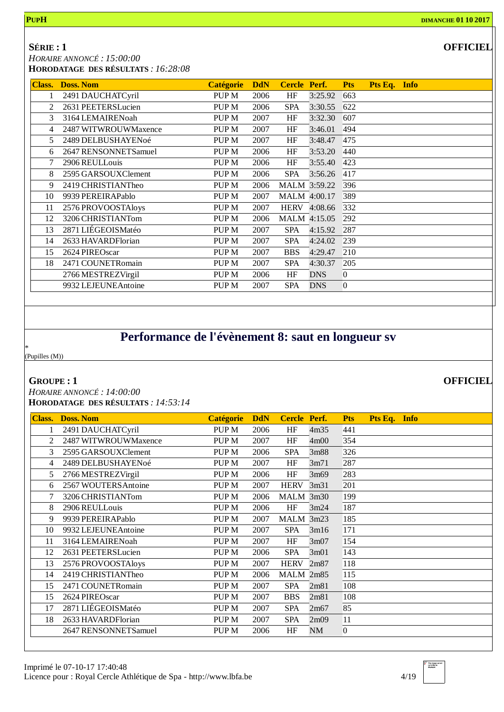### **SÉRIE : 1**

*HORAIRE ANNONCÉ : 15:00:00*

**HORODATAGE DES RÉSULTATS** *: 16:28:08*

| <b>Class.</b> | <b>Doss. Nom</b>     | <b>Catégorie</b> | <b>DdN</b> | Cercle Perf. |              | <b>Pts</b>     | Pts Eq. Info |  |
|---------------|----------------------|------------------|------------|--------------|--------------|----------------|--------------|--|
|               | 2491 DAUCHATCyril    | PUP <sub>M</sub> | 2006       | HF           | 3:25.92      | 663            |              |  |
| 2             | 2631 PEETERSLucien   | PUP <sub>M</sub> | 2006       | <b>SPA</b>   | 3:30.55      | 622            |              |  |
| 3             | 3164 LEMAIRENoah     | PUP <sub>M</sub> | 2007       | HF           | 3:32.30      | 607            |              |  |
| 4             | 2487 WITWROUWMaxence | PUP <sub>M</sub> | 2007       | HF           | 3:46.01      | 494            |              |  |
| 5             | 2489 DELBUSHAYENoé   | PUP <sub>M</sub> | 2007       | HF           | 3:48.47      | 475            |              |  |
| 6             | 2647 RENSONNETSamuel | PUP <sub>M</sub> | 2006       | HF           | 3:53.20      | 440            |              |  |
|               | 2906 REULLouis       | PUP <sub>M</sub> | 2006       | HF           | 3:55.40      | 423            |              |  |
| 8             | 2595 GARSOUXClement  | PUP <sub>M</sub> | 2006       | <b>SPA</b>   | 3:56.26      | 417            |              |  |
| 9             | 2419 CHRISTIANTheo   | PUP <sub>M</sub> | 2006       |              | MALM 3:59.22 | 396            |              |  |
| 10            | 9939 PEREIRAPablo    | PUP <sub>M</sub> | 2007       |              | MALM 4:00.17 | 389            |              |  |
| 11            | 2576 PROVOOSTAloys   | PUP <sub>M</sub> | 2007       | <b>HERV</b>  | 4:08.66      | 332            |              |  |
| 12            | 3206 CHRISTIANTom    | PUP <sub>M</sub> | 2006       |              | MALM 4:15.05 | 292            |              |  |
| 13            | 2871 LIÉGEOISMatéo   | PUP <sub>M</sub> | 2007       | <b>SPA</b>   | 4:15.92      | 287            |              |  |
| 14            | 2633 HAVARDFlorian   | PUP <sub>M</sub> | 2007       | <b>SPA</b>   | 4:24.02      | 239            |              |  |
| 15            | 2624 PIREOscar       | PUP <sub>M</sub> | 2007       | <b>BBS</b>   | 4:29.47      | 210            |              |  |
| 18            | 2471 COUNETRomain    | PUP <sub>M</sub> | 2007       | <b>SPA</b>   | 4:30.37      | 205            |              |  |
|               | 2766 MESTREZVirgil   | PUP <sub>M</sub> | 2006       | HF           | <b>DNS</b>   | $\overline{0}$ |              |  |
|               | 9932 LEJEUNEAntoine  | PUP <sub>M</sub> | 2007       | <b>SPA</b>   | <b>DNS</b>   | $\overline{0}$ |              |  |

# **Performance de l'évènement 8: saut en longueur sv**

\* (Pupilles (M))

#### **GROUPE : 1**

*HORAIRE ANNONCÉ : 14:00:00* **HORODATAGE DES RÉSULTATS** *: 14:53:14*

| <b>Class.</b>  | <b>Doss. Nom</b>     | <b>Catégorie</b> | <b>DdN</b> | Cercle Perf. |           | <b>Pts</b>       | Pts Eq. Info |  |
|----------------|----------------------|------------------|------------|--------------|-----------|------------------|--------------|--|
| 1              | 2491 DAUCHATCyril    | PUP <sub>M</sub> | 2006       | HF           | 4m35      | 441              |              |  |
| $\mathfrak{D}$ | 2487 WITWROUWMaxence | PUP <sub>M</sub> | 2007       | HF           | 4m00      | 354              |              |  |
| 3              | 2595 GARSOUXClement  | PUP <sub>M</sub> | 2006       | SPA          | 3m88      | 326              |              |  |
| 4              | 2489 DELBUSHAYENoé   | PUP <sub>M</sub> | 2007       | HF           | 3m71      | 287              |              |  |
| 5              | 2766 MESTREZVirgil   | PUP <sub>M</sub> | 2006       | HF           | 3m69      | 283              |              |  |
| 6              | 2567 WOUTERS Antoine | PUP <sub>M</sub> | 2007       | <b>HERV</b>  | 3m31      | 201              |              |  |
| 7              | 3206 CHRISTIANTom    | PUP <sub>M</sub> | 2006       | $MALM$ 3m30  |           | 199              |              |  |
| 8              | 2906 REULLouis       | PUP <sub>M</sub> | 2006       | HF           | 3m24      | 187              |              |  |
| 9              | 9939 PEREIRAPablo    | PUP <sub>M</sub> | 2007       | MALM 3m23    |           | 185              |              |  |
| 10             | 9932 LEJEUNEAntoine  | PUP <sub>M</sub> | 2007       | <b>SPA</b>   | 3m16      | 171              |              |  |
| 11             | 3164 LEMAIRENoah     | PUP <sub>M</sub> | 2007       | HF           | 3m07      | 154              |              |  |
| 12             | 2631 PEETERSLucien   | PUP <sub>M</sub> | 2006       | <b>SPA</b>   | 3m01      | 143              |              |  |
| 13             | 2576 PROVOOSTAloys   | PUP <sub>M</sub> | 2007       | <b>HERV</b>  | 2m87      | 118              |              |  |
| 14             | 2419 CHRISTIANTheo   | PUP M            | 2006       | MALM 2m85    |           | 115              |              |  |
| 15             | 2471 COUNETRomain    | PUP <sub>M</sub> | 2007       | <b>SPA</b>   | 2m81      | 108              |              |  |
| 15             | 2624 PIREOscar       | PUP <sub>M</sub> | 2007       | <b>BBS</b>   | 2m81      | 108              |              |  |
| 17             | 2871 LIÉGEOISMatéo   | PUP <sub>M</sub> | 2007       | <b>SPA</b>   | 2m67      | 85               |              |  |
| 18             | 2633 HAVARDFlorian   | PUP <sub>M</sub> | 2007       | <b>SPA</b>   | 2m09      | 11               |              |  |
|                | 2647 RENSONNETSamuel | PUP M            | 2006       | HF           | <b>NM</b> | $\boldsymbol{0}$ |              |  |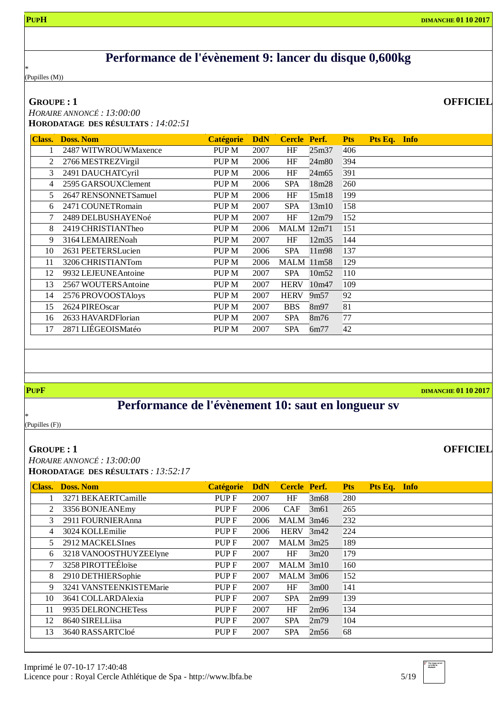## **Performance de l'évènement 9: lancer du disque 0,600kg**

\* (Pupilles (M))

#### **GROUPE : 1**

*HORAIRE ANNONCÉ : 13:00:00* **HORODATAGE DES RÉSULTATS** *: 14:02:51*

| <b>Class.</b> | <b>Doss, Nom</b>     | <b>Catégorie</b> | <b>DdN</b> | Cercle Perf.      |                   | <b>Pts</b> | Pts Eq. Info |  |
|---------------|----------------------|------------------|------------|-------------------|-------------------|------------|--------------|--|
|               | 2487 WITWROUWMaxence | PUP <sub>M</sub> | 2007       | HF                | 25m37             | 406        |              |  |
| 2             | 2766 MESTREZVirgil   | PUP <sub>M</sub> | 2006       | HF                | 24m80             | 394        |              |  |
| 3             | 2491 DAUCHATCyril    | PUP M            | 2006       | HF                | 24m65             | 391        |              |  |
| 4             | 2595 GARSOUXClement  | PUP M            | 2006       | <b>SPA</b>        | 18m28             | 260        |              |  |
| 5             | 2647 RENSONNETSamuel | PUP <sub>M</sub> | 2006       | HF                | 15m18             | 199        |              |  |
| 6             | 2471 COUNETRomain    | PUP M            | 2007       | <b>SPA</b>        | 13m10             | 158        |              |  |
| 7             | 2489 DELBUSHAYENoé   | PUP <sub>M</sub> | 2007       | HF                | 12m79             | 152        |              |  |
| 8             | 2419 CHRISTIANTheo   | PUP M            | 2006       | <b>MALM</b> 12m71 |                   | 151        |              |  |
| 9             | 3164 LEMAIRENoah     | PUP M            | 2007       | HF                | 12m35             | 144        |              |  |
| 10            | 2631 PEETERSLucien   | PUP M            | 2006       | <b>SPA</b>        | 11 <sub>m98</sub> | 137        |              |  |
| 11            | 3206 CHRISTIANTom    | PUP <sub>M</sub> | 2006       | <b>MALM</b> 11m58 |                   | 129        |              |  |
| 12            | 9932 LEJEUNEAntoine  | PUP M            | 2007       | <b>SPA</b>        | 10m <sub>52</sub> | 110        |              |  |
| 13            | 2567 WOUTERS Antoine | PUP <sub>M</sub> | 2007       | <b>HERV</b>       | 10m47             | 109        |              |  |
| 14            | 2576 PROVOOSTAloys   | PUP <sub>M</sub> | 2007       | <b>HERV</b>       | 9m57              | 92         |              |  |
| 15            | 2624 PIREOscar       | PUP <sub>M</sub> | 2007       | <b>BBS</b>        | 8m97              | 81         |              |  |
| 16            | 2633 HAVARDFlorian   | PUP <sub>M</sub> | 2007       | <b>SPA</b>        | 8m76              | 77         |              |  |
| 17            | 2871 LIÉGEOISMatéo   | PUP M            | 2007       | <b>SPA</b>        | 6m77              | 42         |              |  |

**PUPF DIMANCHE 01 10 2017**

**OFFICIEL**

## **Performance de l'évènement 10: saut en longueur sv**

\* (Pupilles (F))

#### **GROUPE : 1**

*HORAIRE ANNONCÉ : 13:00:00* **HORODATAGE DES RÉSULTATS** *: 13:52:17*

| <b>Class.</b> | <b>Doss, Nom</b>        | <b>Catégorie</b> | <b>DdN</b> | <b>Cercle Perf.</b> |      | <b>Pts</b> | Pts Eq. Info |  |
|---------------|-------------------------|------------------|------------|---------------------|------|------------|--------------|--|
|               | 3271 BEKAERTCamille     | PUP F            | 2007       | HF                  | 3m68 | 280        |              |  |
| 2             | 3356 BONJEANEmy         | PUP F            | 2006       | <b>CAF</b>          | 3m61 | 265        |              |  |
| 3             | 2911 FOURNIER Anna      | PUP F            | 2006       | MALM 3m46           |      | 232        |              |  |
| 4             | 3024 KOLLEmilie         | PUP F            | 2006       | HERV 3m42           |      | 224        |              |  |
| 5             | 2912 MACKELSInes        | PUP F            | 2007       | $MALM$ 3m25         |      | 189        |              |  |
| 6             | 3218 VANOOSTHUYZEElyne  | PUP F            | 2007       | HF                  | 3m20 | 179        |              |  |
| 7             | 3258 PIROTTEÉloïse      | PUP F            | 2007       | $MALM$ 3m10         |      | 160        |              |  |
| 8             | 2910 DETHIERSophie      | PUP <sub>F</sub> | 2007       | $MALM$ 3m06         |      | 152        |              |  |
| 9             | 3241 VANSTEENKISTEMarie | PUP F            | 2007       | HF                  | 3m00 | 141        |              |  |
| 10            | 3641 COLLARDAlexia      | PUP F            | 2007       | <b>SPA</b>          | 2m99 | 139        |              |  |
| 11            | 9935 DELRONCHETess      | PUP F            | 2007       | HF                  | 2m96 | 134        |              |  |
| 12            | 8640 SIRELLiisa         | PUP F            | 2007       | <b>SPA</b>          | 2m79 | 104        |              |  |
| 13            | 3640 RASSARTCloé        | PUP F            | 2007       | <b>SPA</b>          | 2m56 | 68         |              |  |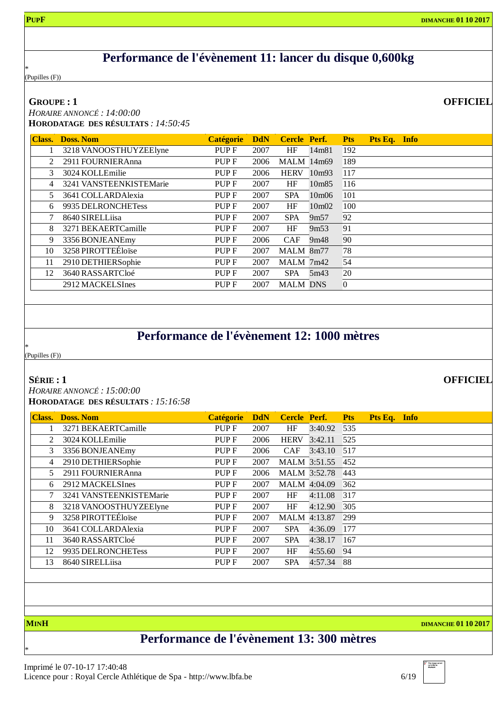### **Performance de l'évènement 11: lancer du disque 0,600kg**

\* (Pupilles (F))

#### **GROUPE : 1**

*HORAIRE ANNONCÉ : 14:00:00* **HORODATAGE DES RÉSULTATS** *: 14:50:45*

|    |                         | <b>Catégorie</b> | <b>DdN</b> | <b>Cercle Perf.</b> |                   | <b>Pts</b>     | Pts Eq. Info |  |
|----|-------------------------|------------------|------------|---------------------|-------------------|----------------|--------------|--|
|    | 3218 VANOOSTHUYZEElyne  | PUP F            | 2007       | HF                  | 14m81             | 192            |              |  |
| 2  | 2911 FOURNIER Anna      | PUP <sub>F</sub> | 2006       | <b>MALM</b> 14m69   |                   | 189            |              |  |
| 3  | 3024 KOLLEmilie         | PUP <sub>F</sub> | 2006       | <b>HERV</b>         | 10m93             | 117            |              |  |
| 4  | 3241 VANSTEENKISTEMarie | PUP F            | 2007       | HF                  | 10m85             | 116            |              |  |
| 5  | 3641 COLLARDAlexia      | PUP F            | 2007       | <b>SPA</b>          | 10m06             | 101            |              |  |
| 6  | 9935 DELRONCHETess      | PUP <sub>F</sub> | 2007       | HF                  | 10m <sub>02</sub> | 100            |              |  |
|    | 8640 SIRELLiisa         | PUP <sub>F</sub> | 2007       | <b>SPA</b>          | 9m <sub>57</sub>  | 92             |              |  |
| 8  | 3271 BEKAERTCamille     | PUP <sub>F</sub> | 2007       | HF                  | 9m <sub>53</sub>  | 91             |              |  |
| 9  | 3356 BONJEANEmy         | PUP <sub>F</sub> | 2006       | <b>CAF</b>          | 9m48              | 90             |              |  |
| 10 | 3258 PIROTTEÉloïse      | PUP <sub>F</sub> | 2007       | MALM 8m77           |                   | 78             |              |  |
| 11 | 2910 DETHIERSophie      | PUP <sub>F</sub> | 2007       | MALM 7m42           |                   | 54             |              |  |
| 12 | 3640 RASSARTCloé        | PUP <sub>F</sub> | 2007       | <b>SPA</b>          | 5m43              | 20             |              |  |
|    | 2912 MACKELSInes        | PUP <sub>F</sub> | 2007       | <b>MALM DNS</b>     |                   | $\overline{0}$ |              |  |

### **Performance de l'évènement 12: 1000 mètres**

\* (Pupilles (F))

#### **SÉRIE : 1**

*HORAIRE ANNONCÉ : 15:00:00*

**HORODATAGE DES RÉSULTATS** *: 15:16:58*

| <b>Class.</b> | <b>Doss. Nom</b>        | <b>Catégorie</b> | <b>DdN</b> | <b>Cercle Perf.</b> |                     | <b>Pts</b> | Pts Eq. Info |  |
|---------------|-------------------------|------------------|------------|---------------------|---------------------|------------|--------------|--|
|               | 3271 BEKAERTCamille     | PUP F            | 2007       | <b>HF</b>           | 3:40.92             | 535        |              |  |
| $\mathcal{L}$ | 3024 KOLLEmilie         | PUP F            | 2006       | <b>HERV</b>         | 3:42.11             | 525        |              |  |
| 3             | 3356 BONJEANEmy         | PUP F            | 2006       | <b>CAF</b>          | 3:43.10             | 517        |              |  |
| 4             | 2910 DETHIERSophie      | PUP F            | 2007       |                     | <b>MALM</b> 3:51.55 | 452        |              |  |
| 5             | 2911 FOURNIER Anna      | PUP F            | 2006       |                     | <b>MALM</b> 3:52.78 | 443        |              |  |
| 6             | 2912 MACKELSInes        | PUP F            | 2007       |                     | MALM 4:04.09        | 362        |              |  |
|               | 3241 VANSTEENKISTEMarie | PUP F            | 2007       | HF                  | 4:11.08             | 317        |              |  |
| 8             | 3218 VANOOSTHUYZEElyne  | PUP F            | 2007       | HF                  | 4:12.90             | 305        |              |  |
| 9             | 3258 PIROTTEÉloïse      | PUP F            | 2007       |                     | MALM 4:13.87        | 299        |              |  |
| 10            | 3641 COLLARDAlexia      | PUP F            | 2007       | <b>SPA</b>          | 4:36.09             | 177        |              |  |
| 11            | 3640 RASSARTCloé        | PUP F            | 2007       | <b>SPA</b>          | 4:38.17             | 167        |              |  |
| 12            | 9935 DELRONCHETess      | PUP F            | 2007       | HF                  | 4:55.60             | 94         |              |  |
| 13            | 8640 SIRELLiisa         | PUP F            | 2007       | <b>SPA</b>          | 4:57.34             | 88         |              |  |
|               |                         |                  |            |                     |                     |            |              |  |

\*

**MINH DIMANCHE 01 10 2017**

# **Performance de l'évènement 13: 300 mètres**

**OFFICIEL**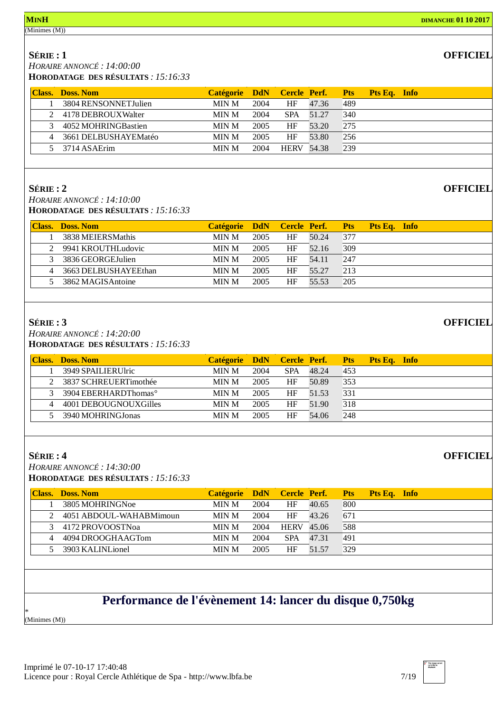(Minimes (M))

#### **OFFICIEL**

**SÉRIE : 1** *HORAIRE ANNONCÉ : 14:00:00* **HORODATAGE DES RÉSULTATS** *: 15:16:33*

| <b>Class.</b> Doss. Nom | Catégorie DdN Cercle Perf. Pts |      |                   |       |     | Pts Eq. Info |
|-------------------------|--------------------------------|------|-------------------|-------|-----|--------------|
| 3804 RENSONNETJulien    | MIN M                          | 2004 | HF                | 47.36 | 489 |              |
| 2 4178 DEBROUX Walter   | MIN M                          | 2004 | <b>SPA</b>        | 51 27 | 340 |              |
| 4052 MOHRINGBastien     | MIN M                          | 2005 | HF                | 53.20 | 275 |              |
| 4 3661 DELBUSHAYEMatéo  | <b>MIN M</b>                   | 2005 | HF                | 53.80 | 256 |              |
| 5 3714 ASAErim          | <b>MIN M</b>                   | 2004 | <b>HERV</b> 54.38 |       | 239 |              |

#### **SÉRIE : 2**

*HORAIRE ANNONCÉ : 14:10:00* **HORODATAGE DES RÉSULTATS** *: 15:16:33*

|   | <b>Class. Doss. Nom</b> | Catégorie DdN Cercle Perf. |      |    |       | <b>Pts</b> | Pts Eq. Info |
|---|-------------------------|----------------------------|------|----|-------|------------|--------------|
|   | 3838 MEIERSMathis       | MIN M                      | 2005 | HF | 50.24 | 377        |              |
|   | 2 9941 KROUTHLudovic    | MIN M                      | 2005 | HF | 52.16 | 309        |              |
|   | 3 3836 GEORGE Julien    | MIN M                      | 2005 | HF | 54.11 | 247        |              |
| 4 | 3663 DELBUSHAYEEthan    | MIN M                      | 2005 | HF | 55.27 | 213        |              |
|   | 3862 MAGISAntoine       | <b>MIN M</b>               | 2005 | HF | 55.53 | 205        |              |
|   |                         |                            |      |    |       |            |              |

#### **SÉRIE : 3**

*HORAIRE ANNONCÉ : 14:20:00* **HORODATAGE DES RÉSULTATS** *: 15:16:33*

| <b>Class. Doss. Nom</b>            | Catégorie DdN Cercle Perf. |      |            |       | <b>Pts</b> | Pts Eq. Info |  |
|------------------------------------|----------------------------|------|------------|-------|------------|--------------|--|
| 3949 SPAILIERUlric                 | MIN M                      | 2004 | <b>SPA</b> | 48.24 | 453        |              |  |
| 2 3837 SCHREUERTimothée            | MIN M                      | 2005 | ΗF         | 50.89 | 353        |              |  |
| 3 3904 EBERHARDThomas <sup>o</sup> | MIN M                      | 2005 | ΗF         | 51.53 | 331        |              |  |
| 4001 DEBOUGNOUXGilles              | MIN M                      | 2005 | ΗF         | 51.90 | 318        |              |  |
| 3940 MOHRINGJonas                  | <b>MIN M</b>               | 2005 | HF         | 54.06 | 248        |              |  |
|                                    |                            |      |            |       |            |              |  |

#### **SÉRIE : 4**

*HORAIRE ANNONCÉ : 14:30:00* **HORODATAGE DES RÉSULTATS** *: 15:16:33*

| <b>Class.</b> Doss. Nom | Catégorie DdN Cercle Perf. |      |                   |       | <b>Pts</b> | Pts Eq. Info |
|-------------------------|----------------------------|------|-------------------|-------|------------|--------------|
| 3805 MOHRINGNoe         | MIN M                      | 2004 | ΗF                | 40.65 | 800        |              |
| 4051 ABDOUL-WAHABMimoun | MIN M                      | 2004 | ΗF                | 43.26 | 671        |              |
| 3 4172 PROVOOSTNoa      | MIN M                      | 2004 | <b>HERV</b> 45.06 |       | 588        |              |
| 4094 DROOGHAAGTom       | MIN M                      | 2004 | <b>SPA</b>        | 47.31 | 491        |              |
| 3903 KALINLionel        | <b>MIN M</b>               | 2005 | HF                | 51 57 | 329        |              |

# **Performance de l'évènement 14: lancer du disque 0,750kg**

\* (Minimes (M))



**OFFICIEL**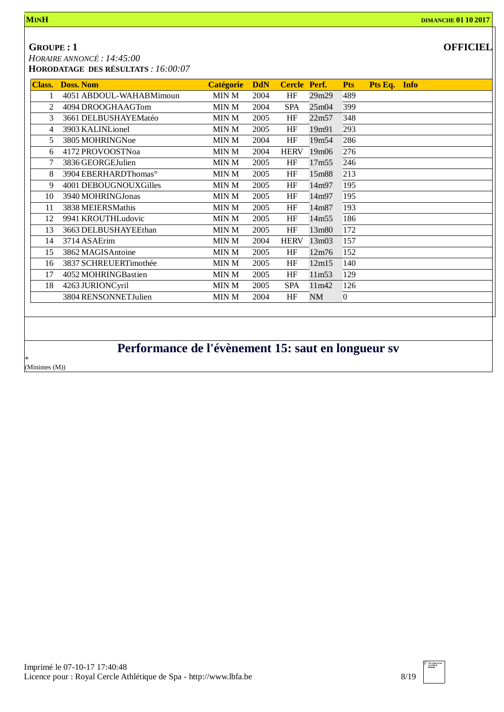#### **GROUPE : 1**

*HORAIRE ANNONCÉ : 14:45:00*

| OFFICIEL |
|----------|
|----------|

**HORODATAGE DES RÉSULTATS** *: 16:00:07*

| <b>Class.</b> | <b>Doss. Nom</b>                 | <b>Catégorie</b> | <b>DdN</b> | Cercle Perf. |       | <b>Pts</b>     | Pts Eq. Info |  |
|---------------|----------------------------------|------------------|------------|--------------|-------|----------------|--------------|--|
|               | 4051 ABDOUL-WAHABMimoun          | MIN M            | 2004       | HF           | 29m29 | 489            |              |  |
| 2             | 4094 DROOGHAAGTom                | MIN M            | 2004       | <b>SPA</b>   | 25m04 | 399            |              |  |
| 3             | 3661 DELBUSHAYEMatéo             | MIN M            | 2005       | HF           | 22m57 | 348            |              |  |
| 4             | 3903 KALINLionel                 | MIN M            | 2005       | HF           | 19m91 | 293            |              |  |
| 5             | 3805 MOHRINGNoe                  | MIN M            | 2004       | HF           | 19m54 | 286            |              |  |
| 6             | 4172 PROVOOSTNoa                 | MIN M            | 2004       | <b>HERV</b>  | 19m06 | 276            |              |  |
|               | 3836 GEORGEJulien                | MIN M            | 2005       | HF           | 17m55 | 246            |              |  |
| 8             | 3904 EBERHARDThomas <sup>o</sup> | MIN M            | 2005       | HF           | 15m88 | 213            |              |  |
| 9             | 4001 DEBOUGNOUXGilles            | MIN M            | 2005       | HF           | 14m97 | 195            |              |  |
| 10            | 3940 MOHRINGJonas                | MIN M            | 2005       | HF           | 14m97 | 195            |              |  |
| 11            | 3838 MEIERSMathis                | MIN M            | 2005       | HF           | 14m87 | 193            |              |  |
| 12            | 9941 KROUTHLudovic               | MIN M            | 2005       | HF           | 14m55 | 186            |              |  |
| 13            | 3663 DELBUSHAYEEthan             | MIN M            | 2005       | HF           | 13m80 | 172            |              |  |
| 14            | 3714 ASAErim                     | MIN M            | 2004       | <b>HERV</b>  | 13m03 | 157            |              |  |
| 15            | 3862 MAGISAntoine                | MIN M            | 2005       | HF           | 12m76 | 152            |              |  |
| 16            | 3837 SCHREUERTimothée            | MIN M            | 2005       | HF           | 12m15 | 140            |              |  |
| 17            | 4052 MOHRINGBastien              | MIN M            | 2005       | HF           | 11m53 | 129            |              |  |
| 18            | 4263 JURIONCyril                 | MIN M            | 2005       | <b>SPA</b>   | 11m42 | 126            |              |  |
|               | 3804 RENSONNETJulien             | MIN M            | 2004       | HF           | NM    | $\overline{0}$ |              |  |
|               |                                  |                  |            |              |       |                |              |  |

# **Performance de l'évènement 15: saut en longueur sv**

\* (Minimes (M))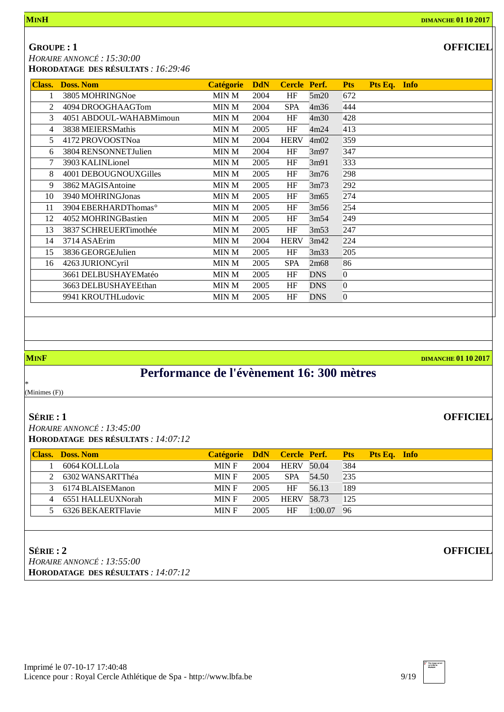**GROUPE : 1**

*HORAIRE ANNONCÉ : 15:30:00*

| <b>HORODATAGE DES RÉSULTATS : 16:29:46</b> |
|--------------------------------------------|
|--------------------------------------------|

| <b>Class.</b>  | <b>Doss, Nom</b>                 | <b>Catégorie</b> | <b>DdN</b> | Cercle Perf. |            | <b>Pts</b>       | Pts Eq. Info |  |
|----------------|----------------------------------|------------------|------------|--------------|------------|------------------|--------------|--|
|                | 3805 MOHRINGNoe                  | MIN M            | 2004       | HF           | 5m20       | 672              |              |  |
| 2              | 4094 DROOGHAAGTom                | MIN M            | 2004       | <b>SPA</b>   | 4m36       | 444              |              |  |
| 3              | 4051 ABDOUL-WAHABMimoun          | MIN M            | 2004       | HF           | 4m30       | 428              |              |  |
| $\overline{4}$ | 3838 MEIERSMathis                | MIN M            | 2005       | HF           | 4m24       | 413              |              |  |
| 5.             | 4172 PROVOOSTNoa                 | MIN M            | 2004       | <b>HERV</b>  | 4m02       | 359              |              |  |
| 6              | 3804 RENSONNETJulien             | MIN M            | 2004       | HF           | 3m97       | 347              |              |  |
| 7              | 3903 KALINLionel                 | MIN M            | 2005       | HF           | 3m91       | 333              |              |  |
| 8              | 4001 DEBOUGNOUXGilles            | MIN M            | 2005       | HF           | 3m76       | 298              |              |  |
| 9              | 3862 MAGISAntoine                | MIN M            | 2005       | HF           | 3m73       | 292              |              |  |
| 10             | 3940 MOHRINGJonas                | MIN M            | 2005       | HF           | 3m65       | 274              |              |  |
| 11             | 3904 EBERHARDThomas <sup>o</sup> | MIN M            | 2005       | HF           | 3m56       | 254              |              |  |
| 12             | 4052 MOHRINGBastien              | MIN M            | 2005       | HF           | 3m54       | 249              |              |  |
| 13             | 3837 SCHREUERTimothée            | MIN M            | 2005       | HF           | 3m53       | 247              |              |  |
| 14             | 3714 ASAErim                     | MIN M            | 2004       | <b>HERV</b>  | 3m42       | 224              |              |  |
| 15             | 3836 GEORGEJulien                | MIN M            | 2005       | HF           | 3m33       | 205              |              |  |
| 16             | 4263 JURIONCyril                 | MIN M            | 2005       | <b>SPA</b>   | 2m68       | 86               |              |  |
|                | 3661 DELBUSHAYEMatéo             | MIN M            | 2005       | HF           | <b>DNS</b> | $\overline{0}$   |              |  |
|                | 3663 DELBUSHAYEEthan             | MIN M            | 2005       | HF           | <b>DNS</b> | $\Omega$         |              |  |
|                | 9941 KROUTHLudovic               | MIN M            | 2005       | HF           | <b>DNS</b> | $\boldsymbol{0}$ |              |  |

**MINF DIMANCHE 01 10 2017**

**OFFICIEL**

**OFFICIEL**

# **Performance de l'évènement 16: 300 mètres**

\* (Minimes (F))

#### **SÉRIE : 1**

*HORAIRE ANNONCÉ : 13:45:00* **HORODATAGE DES RÉSULTATS** *: 14:07:12*

| <b>Class.</b> Doss. Nom | Catégorie DdN Cercle Perf. Pts |      |                   |           |     | <b>Pts Eq. Info</b> |
|-------------------------|--------------------------------|------|-------------------|-----------|-----|---------------------|
| 6064 KOLLLola           | MIN F                          | 2004 | <b>HERV 50.04</b> |           | 384 |                     |
| 2 6302 WANSARTThéa      | MIN F                          | 2005 |                   | SPA 54.50 | 235 |                     |
| 3 6174 BLAISEManon      | MIN F                          | 2005 | <b>HF</b>         | 56.13     | 189 |                     |
| 6551 HALLEUXNorah       | MIN F                          | 2005 | <b>HERV 58.73</b> |           | 125 |                     |
| 6326 BEKAERTFlavie      | MIN F                          | 2005 | ΗF                | 1:00.07   | 96  |                     |

#### **SÉRIE : 2**

*HORAIRE ANNONCÉ : 13:55:00* **HORODATAGE DES RÉSULTATS** *: 14:07:12*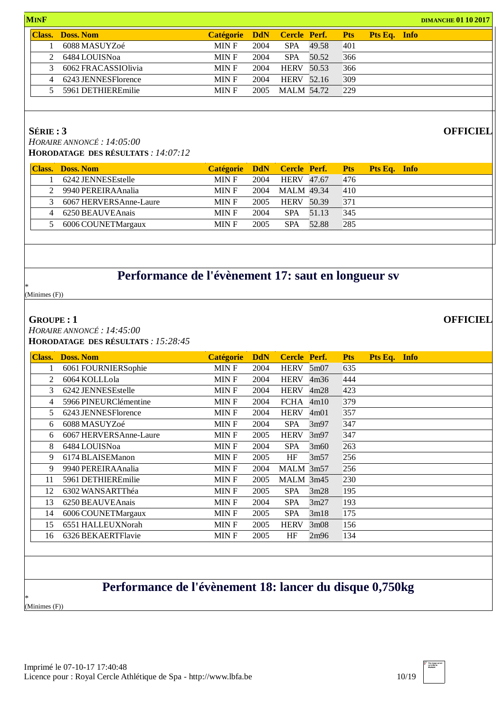| <b>MINF</b>    |                         |                            |      | <b>DIMANCHE 01 10 2017</b> |       |            |              |  |  |
|----------------|-------------------------|----------------------------|------|----------------------------|-------|------------|--------------|--|--|
|                | <b>Class. Doss. Nom</b> | Catégorie DdN Cercle Perf. |      |                            |       | <b>Pts</b> | Pts Eq. Info |  |  |
|                | 6088 MASUYZoé           | MIN F                      | 2004 | <b>SPA</b>                 | 49.58 | 401        |              |  |  |
| $2^{\circ}$    | 6484 LOUISNoa           | MIN F                      | 2004 | <b>SPA</b>                 | 50.52 | 366        |              |  |  |
|                | 6062 FRACASSIOlivia     | MIN F                      | 2004 | <b>HERV 50.53</b>          |       | 366        |              |  |  |
| $\overline{4}$ | 6243 JENNESFlorence     | MIN F                      | 2004 | <b>HERV</b> 52.16          |       | 309        |              |  |  |
|                | 5961 DETHIEREmilie      | MIN F                      | 2005 | <b>MALM 54.72</b>          |       | 229        |              |  |  |
|                |                         |                            |      |                            |       |            |              |  |  |

#### **SÉRIE : 3**

*HORAIRE ANNONCÉ : 14:05:00* **HORODATAGE DES RÉSULTATS** *: 14:07:12*

|               | <b>Class. Doss. Nom</b> |       |      |                   |       |     | Catégorie DdN Cercle Perf. Pts Pts Eq. Info |
|---------------|-------------------------|-------|------|-------------------|-------|-----|---------------------------------------------|
|               | 6242 JENNESEstelle      | MIN F | 2004 | <b>HERV</b> 47.67 |       | 476 |                                             |
|               | 9940 PEREIRAAnalia      | MIN F | 2004 | <b>MALM</b> 49.34 |       | 410 |                                             |
| $\mathcal{R}$ | 6067 HERVERSAnne-Laure  | MIN F | 2005 | <b>HERV 50.39</b> |       | 371 |                                             |
|               | 6250 BEAUVEAnais        | MIN F | 2004 | SPA               | 51.13 | 345 |                                             |
|               | 6006 COUNETMargaux      | MIN F | 2005 | <b>SPA</b>        | 52.88 | 285 |                                             |

# **Performance de l'évènement 17: saut en longueur sv**

\* (Minimes (F))

#### **GROUPE : 1**

*HORAIRE ANNONCÉ : 14:45:00* **HORODATAGE DES RÉSULTATS** *: 15:28:45*

| Class. | <b>Doss. Nom</b>       | <b>Catégorie</b> | <b>DdN</b> | Cercle Perf. |      | <b>Pts</b> | Pts Eq. Info |  |
|--------|------------------------|------------------|------------|--------------|------|------------|--------------|--|
|        | 6061 FOURNIERSophie    | MIN F            | 2004       | <b>HERV</b>  | 5m07 | 635        |              |  |
| 2      | 6064 KOLLLola          | MIN F            | 2004       | <b>HERV</b>  | 4m36 | 444        |              |  |
| 3      | 6242 JENNESEstelle     | MIN F            | 2004       | <b>HERV</b>  | 4m28 | 423        |              |  |
| 4      | 5966 PINEURClémentine  | MIN F            | 2004       | <b>FCHA</b>  | 4m10 | 379        |              |  |
| 5      | 6243 JENNESFlorence    | <b>MINF</b>      | 2004       | <b>HERV</b>  | 4m01 | 357        |              |  |
| 6      | 6088 MASUYZoé          | MIN F            | 2004       | <b>SPA</b>   | 3m97 | 347        |              |  |
| 6      | 6067 HERVERSAnne-Laure | MIN F            | 2005       | <b>HERV</b>  | 3m97 | 347        |              |  |
| 8      | 6484 LOUISNoa          | MIN F            | 2004       | <b>SPA</b>   | 3m60 | 263        |              |  |
| 9      | 6174 BLAISEManon       | MIN F            | 2005       | HF           | 3m57 | 256        |              |  |
| 9      | 9940 PEREIRAAnalia     | MIN F            | 2004       | MALM 3m57    |      | 256        |              |  |
| 11     | 5961 DETHIEREmilie     | MIN F            | 2005       | MALM 3m45    |      | 230        |              |  |
| 12     | 6302 WANSARTThéa       | <b>MINF</b>      | 2005       | <b>SPA</b>   | 3m28 | 195        |              |  |
| 13     | 6250 BEAUVEAnais       | MIN F            | 2004       | <b>SPA</b>   | 3m27 | 193        |              |  |
| 14     | 6006 COUNETMargaux     | <b>MINF</b>      | 2005       | <b>SPA</b>   | 3m18 | 175        |              |  |
| 15     | 6551 HALLEUXNorah      | MIN F            | 2005       | <b>HERV</b>  | 3m08 | 156        |              |  |
| 16     | 6326 BEKAERTFlavie     | MIN F            | 2005       | HF           | 2m96 | 134        |              |  |

## **Performance de l'évènement 18: lancer du disque 0,750kg**

\* (Minimes (F)) **OFFICIEL**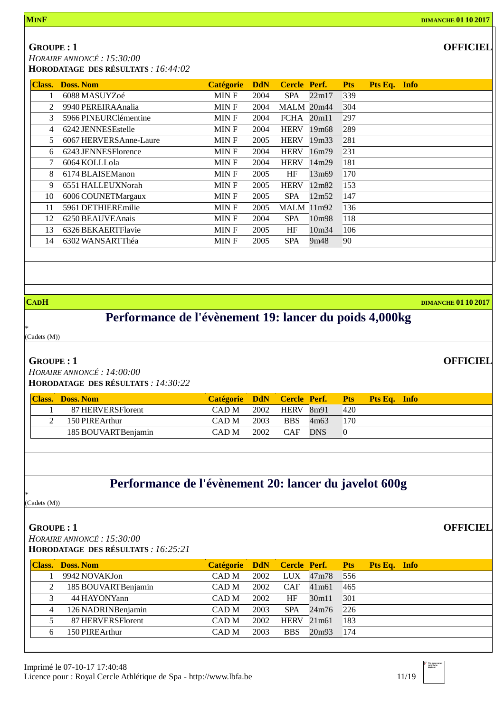#### **GROUPE : 1**

*HORAIRE ANNONCÉ : 15:30:00*

**HORODATAGE DES RÉSULTATS** *: 16:44:02*

| <b>Class.</b>  | <b>Doss. Nom</b>       | <b>Catégorie</b> | <b>DdN</b> | <b>Cercle Perf.</b> |                   | Pts Eq. Info<br><b>Pts</b> |
|----------------|------------------------|------------------|------------|---------------------|-------------------|----------------------------|
|                | 6088 MASUYZoé          | MIN F            | 2004       | <b>SPA</b>          | 22m17             | 339                        |
| $\mathcal{L}$  | 9940 PEREIRAAnalia     | MIN F            | 2004       | <b>MALM 20m44</b>   |                   | 304                        |
| 3              | 5966 PINEURClémentine  | MIN F            | 2004       | $FCHA$ 20m11        |                   | 297                        |
| $\overline{4}$ | 6242 JENNESEstelle     | <b>MINF</b>      | 2004       | <b>HERV</b>         | 19 <sub>m68</sub> | 289                        |
| 5              | 6067 HERVERSAnne-Laure | MIN F            | 2005       | <b>HERV</b>         | 19 <sub>m33</sub> | 281                        |
| 6              | 6243 JENNESFlorence    | <b>MINF</b>      | 2004       | <b>HERV</b>         | 16m79             | 231                        |
| 7              | 6064 KOLLLola          | MIN F            | 2004       | <b>HERV</b>         | 14m29             | 181                        |
| 8              | 6174 BLAISEManon       | MIN F            | 2005       | HF                  | 13m69             | 170                        |
| 9              | 6551 HALLEUXNorah      | MIN F            | 2005       | <b>HERV</b>         | 12m82             | 153                        |
| 10             | 6006 COUNETMargaux     | MIN F            | 2005       | <b>SPA</b>          | 12m52             | 147                        |
| 11             | 5961 DETHIEREmilie     | MIN F            | 2005       | $MALM$ 11m92        |                   | 136                        |
| 12             | 6250 BEAUVEAnais       | <b>MINF</b>      | 2004       | <b>SPA</b>          | 10m98             | 118                        |
| 13             | 6326 BEKAERTFlavie     | MIN F            | 2005       | HF                  | 10m34             | 106                        |
| 14             | 6302 WANSARTThéa       | MIN F            | 2005       | <b>SPA</b>          | 9m48              | 90                         |

**CADH DIMANCHE 01 10 2017**

# **Performance de l'évènement 19: lancer du poids 4,000kg**

\* (Cadets (M))

#### **GROUPE : 1**

*HORAIRE ANNONCÉ : 14:00:00* **HORODATAGE DES RÉSULTATS** *: 14:30:22*

| 2002<br>HERV 8m91<br>420<br>CAD M<br>87 HERVERSFlorent<br>2003<br><b>BBS</b><br>170<br>4m63<br>CAD M<br>150 PIREArthur | <b>Class. Doss. Nom</b> | Catégorie DdN Cercle Perf. Pts Pts Eq. Info |  |  |  |
|------------------------------------------------------------------------------------------------------------------------|-------------------------|---------------------------------------------|--|--|--|
|                                                                                                                        |                         |                                             |  |  |  |
|                                                                                                                        |                         |                                             |  |  |  |
| 2002<br>185 BOUVARTBenjamin<br>CAF DNS<br>CAD M                                                                        |                         |                                             |  |  |  |

# **Performance de l'évènement 20: lancer du javelot 600g**

\* (Cadets (M))

#### **GROUPE : 1**

*HORAIRE ANNONCÉ : 15:30:00*

**HORODATAGE DES RÉSULTATS** *: 16:25:21*

|    | <b>Class. Doss. Nom</b> | Catégorie DdN Cercle Perf. Pts Pts Eq. Info |      |              |         |     |  |
|----|-------------------------|---------------------------------------------|------|--------------|---------|-----|--|
|    | 9942 NOVAKJon           | CAD M                                       | 2002 | $LUX$ 47m78  |         | 556 |  |
| 2  | 185 BOUVARTBenjamin     | CAD M                                       | 2002 | CAF          | 41 m 61 | 465 |  |
|    | 44 HAYONYann            | CAD M                                       | 2002 | <b>HF</b>    | 30m11   | 301 |  |
| 4  | 126 NADRINBenjamin      | CAD M                                       | 2003 | <b>SPA</b>   | 24m76   | 226 |  |
|    | 87 HERVERSFlorent       | CAD M                                       | 2002 | $HERV$ 21m61 |         | 183 |  |
| 6. | 150 PIREArthur          | CAD M                                       | 2003 | <b>BBS</b>   | 20m93   | 174 |  |

**OFFICIEL**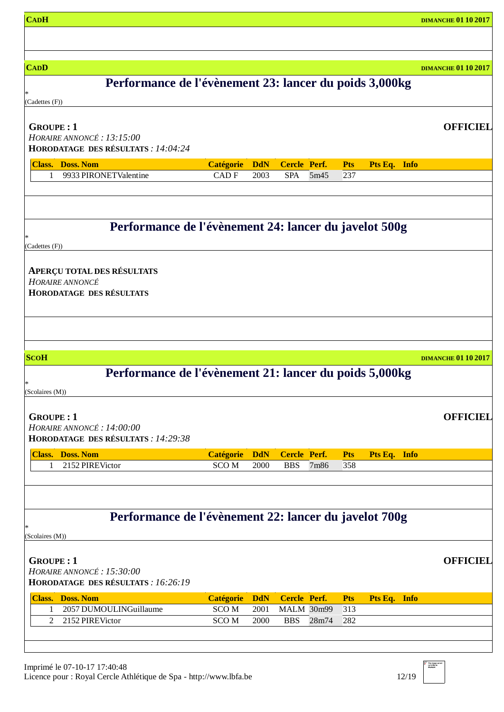| <b>CADH</b>                                                      |                  |            |                     |       |            |              | <b>DIMANCHE 01 10 2017</b> |
|------------------------------------------------------------------|------------------|------------|---------------------|-------|------------|--------------|----------------------------|
|                                                                  |                  |            |                     |       |            |              |                            |
|                                                                  |                  |            |                     |       |            |              |                            |
| <b>CADD</b>                                                      |                  |            |                     |       |            |              | <b>DIMANCHE 01 10 2017</b> |
| Performance de l'évènement 23: lancer du poids 3,000kg           |                  |            |                     |       |            |              |                            |
| (Cadettes (F))                                                   |                  |            |                     |       |            |              |                            |
|                                                                  |                  |            |                     |       |            |              |                            |
| <b>GROUPE: 1</b>                                                 |                  |            |                     |       |            |              | <b>OFFICIEL</b>            |
| HORAIRE ANNONCÉ: 13:15:00<br>HORODATAGE DES RÉSULTATS : 14:04:24 |                  |            |                     |       |            |              |                            |
| <b>Class. Doss. Nom</b>                                          | <b>Catégorie</b> | <b>DdN</b> | <b>Cercle Perf.</b> |       | <b>Pts</b> | Pts Eq. Info |                            |
| 9933 PIRONETValentine<br>$\mathbf{1}$                            | CAD <sub>F</sub> | 2003       | <b>SPA</b>          | 5m45  | 237        |              |                            |
|                                                                  |                  |            |                     |       |            |              |                            |
|                                                                  |                  |            |                     |       |            |              |                            |
|                                                                  |                  |            |                     |       |            |              |                            |
| Performance de l'évènement 24: lancer du javelot 500g            |                  |            |                     |       |            |              |                            |
| (Cadettes (F))                                                   |                  |            |                     |       |            |              |                            |
|                                                                  |                  |            |                     |       |            |              |                            |
| <b>APERÇU TOTAL DES RÉSULTATS</b><br>HORAIRE ANNONCÉ             |                  |            |                     |       |            |              |                            |
| <b>HORODATAGE DES RÉSULTATS</b>                                  |                  |            |                     |       |            |              |                            |
|                                                                  |                  |            |                     |       |            |              |                            |
|                                                                  |                  |            |                     |       |            |              |                            |
|                                                                  |                  |            |                     |       |            |              |                            |
|                                                                  |                  |            |                     |       |            |              |                            |
| <b>ScoH</b>                                                      |                  |            |                     |       |            |              | <b>DIMANCHE 01 10 2017</b> |
| Performance de l'évènement 21: lancer du poids 5,000kg<br>*      |                  |            |                     |       |            |              |                            |
| (Scolaires (M))                                                  |                  |            |                     |       |            |              |                            |
|                                                                  |                  |            |                     |       |            |              |                            |
| <b>GROUPE: 1</b><br>HORAIRE ANNONCÉ : 14:00:00                   |                  |            |                     |       |            |              | <b>OFFICIEL</b>            |
| HORODATAGE DES RÉSULTATS : 14:29:38                              |                  |            |                     |       |            |              |                            |
| <b>Class. Doss. Nom</b>                                          | <b>Catégorie</b> | <b>DdN</b> | <b>Cercle Perf.</b> |       | <b>Pts</b> | Pts Eq. Info |                            |
| 2152 PIREVictor<br>1                                             | <b>SCOM</b>      | 2000       | <b>BBS</b>          | 7m86  | 358        |              |                            |
|                                                                  |                  |            |                     |       |            |              |                            |
|                                                                  |                  |            |                     |       |            |              |                            |
|                                                                  |                  |            |                     |       |            |              |                            |
| Performance de l'évènement 22: lancer du javelot 700g            |                  |            |                     |       |            |              |                            |
| (Scolaires (M))                                                  |                  |            |                     |       |            |              |                            |
|                                                                  |                  |            |                     |       |            |              |                            |
| <b>GROUPE: 1</b><br>HORAIRE ANNONCÉ : 15:30:00                   |                  |            |                     |       |            |              | <b>OFFICIEL</b>            |
| HORODATAGE DES RÉSULTATS : 16:26:19                              |                  |            |                     |       |            |              |                            |
| <b>Class. Doss. Nom</b>                                          | <b>Catégorie</b> | <b>DdN</b> | <b>Cercle Perf.</b> |       | <b>Pts</b> | Pts Eq. Info |                            |
| 2057 DUMOULINGuillaume<br>1                                      | <b>SCOM</b>      | 2001       | MALM 30m99          |       | 313        |              |                            |
| 2152 PIREVictor<br>2                                             | <b>SCOM</b>      | 2000       | <b>BBS</b>          | 28m74 | 282        |              |                            |
|                                                                  |                  |            |                     |       |            |              |                            |
|                                                                  |                  |            |                     |       |            |              |                            |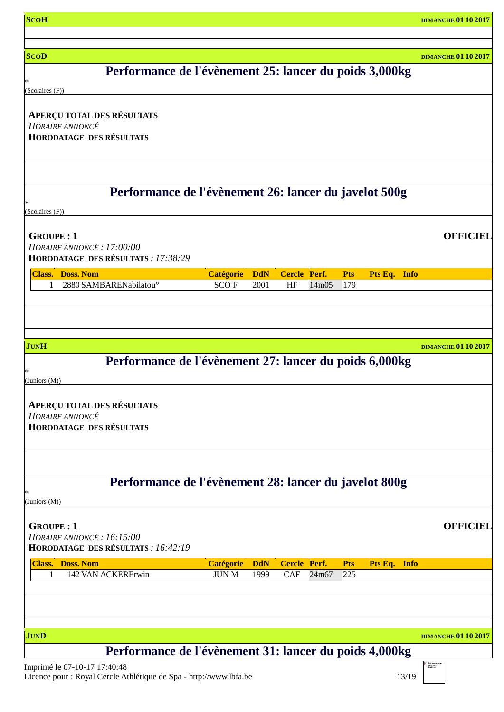| <b>ScoH</b>                                                                                          |                  |            |                     |       |            |              | <b>DIMANCHE 01 10 2017</b> |
|------------------------------------------------------------------------------------------------------|------------------|------------|---------------------|-------|------------|--------------|----------------------------|
|                                                                                                      |                  |            |                     |       |            |              |                            |
| <b>SCOD</b>                                                                                          |                  |            |                     |       |            |              | <b>DIMANCHE 01 10 2017</b> |
| Performance de l'évènement 25: lancer du poids 3,000kg                                               |                  |            |                     |       |            |              |                            |
| (Scolaires (F))                                                                                      |                  |            |                     |       |            |              |                            |
| <b>APERÇU TOTAL DES RÉSULTATS</b>                                                                    |                  |            |                     |       |            |              |                            |
| <b>HORAIRE ANNONCÉ</b>                                                                               |                  |            |                     |       |            |              |                            |
| <b>HORODATAGE DES RÉSULTATS</b>                                                                      |                  |            |                     |       |            |              |                            |
|                                                                                                      |                  |            |                     |       |            |              |                            |
|                                                                                                      |                  |            |                     |       |            |              |                            |
| Performance de l'évènement 26: lancer du javelot 500g                                                |                  |            |                     |       |            |              |                            |
| (Scolaires (F))                                                                                      |                  |            |                     |       |            |              |                            |
|                                                                                                      |                  |            |                     |       |            |              |                            |
| <b>GROUPE: 1</b><br>HORAIRE ANNONCÉ: 17:00:00                                                        |                  |            |                     |       |            |              | <b>OFFICIEL</b>            |
| HORODATAGE DES RÉSULTATS : 17:38:29                                                                  |                  |            |                     |       |            |              |                            |
| <b>Class. Doss. Nom</b>                                                                              | <b>Catégorie</b> | <b>DdN</b> | <b>Cercle Perf.</b> |       | <b>Pts</b> | Pts Eq. Info |                            |
| 2880 SAMBARENabilatou <sup>o</sup><br>1                                                              | <b>SCOF</b>      | 2001       | HF                  | 14m05 | 179        |              |                            |
|                                                                                                      |                  |            |                     |       |            |              |                            |
|                                                                                                      |                  |            |                     |       |            |              |                            |
|                                                                                                      |                  |            |                     |       |            |              |                            |
| <b>JUNH</b><br>Performance de l'évènement 27: lancer du poids 6,000kg                                |                  |            |                     |       |            |              | <b>DIMANCHE 01 10 2017</b> |
|                                                                                                      |                  |            |                     |       |            |              |                            |
| (Juniors $(M)$ )                                                                                     |                  |            |                     |       |            |              |                            |
| <b>APERÇU TOTAL DES RÉSULTATS</b>                                                                    |                  |            |                     |       |            |              |                            |
| HORAIRE ANNONCÉ                                                                                      |                  |            |                     |       |            |              |                            |
| <b>HORODATAGE DES RÉSULTATS</b>                                                                      |                  |            |                     |       |            |              |                            |
|                                                                                                      |                  |            |                     |       |            |              |                            |
|                                                                                                      |                  |            |                     |       |            |              |                            |
| Performance de l'évènement 28: lancer du javelot 800g                                                |                  |            |                     |       |            |              |                            |
| (Juniors (M))                                                                                        |                  |            |                     |       |            |              |                            |
|                                                                                                      |                  |            |                     |       |            |              |                            |
| <b>GROUPE: 1</b><br>HORAIRE ANNONCÉ: 16:15:00                                                        |                  |            |                     |       |            |              | <b>OFFICIEL</b>            |
| HORODATAGE DES RÉSULTATS : 16:42:19                                                                  |                  |            |                     |       |            |              |                            |
| <b>Class. Doss. Nom</b>                                                                              | <b>Catégorie</b> | <b>DdN</b> | <b>Cercle Perf.</b> |       | <b>Pts</b> | Pts Eq. Info |                            |
| 142 VAN ACKERErwin<br>1                                                                              | <b>JUN M</b>     | 1999       | CAF                 | 24m67 | 225        |              |                            |
|                                                                                                      |                  |            |                     |       |            |              |                            |
|                                                                                                      |                  |            |                     |       |            |              |                            |
|                                                                                                      |                  |            |                     |       |            |              |                            |
| <b>JUND</b>                                                                                          |                  |            |                     |       |            |              | <b>DIMANCHE 01 10 2017</b> |
| Performance de l'évènement 31: lancer du poids 4,000kg<br>$Immin_{\text{min}}$ (1.07.10.17.17.40.40) |                  |            |                     |       |            |              |                            |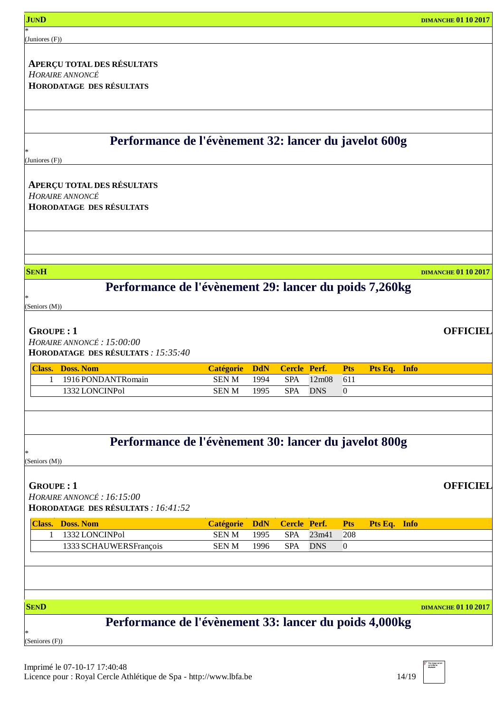| <b>JUND</b>                                            |                  |            |                     |            |                  |              | <b>DIMANCHE 01 10 2017</b> |
|--------------------------------------------------------|------------------|------------|---------------------|------------|------------------|--------------|----------------------------|
| (Juniores (F))                                         |                  |            |                     |            |                  |              |                            |
|                                                        |                  |            |                     |            |                  |              |                            |
| <b>APERÇU TOTAL DES RÉSULTATS</b><br>HORAIRE ANNONCÉ   |                  |            |                     |            |                  |              |                            |
| <b>HORODATAGE DES RÉSULTATS</b>                        |                  |            |                     |            |                  |              |                            |
|                                                        |                  |            |                     |            |                  |              |                            |
|                                                        |                  |            |                     |            |                  |              |                            |
|                                                        |                  |            |                     |            |                  |              |                            |
| Performance de l'évènement 32: lancer du javelot 600g  |                  |            |                     |            |                  |              |                            |
|                                                        |                  |            |                     |            |                  |              |                            |
| (Juniores (F))                                         |                  |            |                     |            |                  |              |                            |
| <b>APERÇU TOTAL DES RÉSULTATS</b>                      |                  |            |                     |            |                  |              |                            |
| HORAIRE ANNONCÉ                                        |                  |            |                     |            |                  |              |                            |
| <b>HORODATAGE DES RÉSULTATS</b>                        |                  |            |                     |            |                  |              |                            |
|                                                        |                  |            |                     |            |                  |              |                            |
|                                                        |                  |            |                     |            |                  |              |                            |
|                                                        |                  |            |                     |            |                  |              |                            |
|                                                        |                  |            |                     |            |                  |              |                            |
| <b>SENH</b>                                            |                  |            |                     |            |                  |              | <b>DIMANCHE 01 10 2017</b> |
| Performance de l'évènement 29: lancer du poids 7,260kg |                  |            |                     |            |                  |              |                            |
| (Seniors (M))                                          |                  |            |                     |            |                  |              |                            |
|                                                        |                  |            |                     |            |                  |              |                            |
| <b>GROUPE: 1</b>                                       |                  |            |                     |            |                  |              | <b>OFFICIEL</b>            |
| HORAIRE ANNONCÉ : 15:00:00                             |                  |            |                     |            |                  |              |                            |
| HORODATAGE DES RÉSULTATS : 15:35:40                    |                  |            |                     |            |                  |              |                            |
| <b>Class. Doss. Nom</b>                                | <b>Catégorie</b> | <b>DdN</b> | <b>Cercle Perf.</b> |            | <b>Pts</b>       | Pts Eq. Info |                            |
| 1916 PONDANTRomain<br>1                                | <b>SENM</b>      | 1994       | <b>SPA</b>          | 12m08      | 611              |              |                            |
| 1332 LONCINPol                                         | <b>SENM</b>      | 1995       | <b>SPA</b>          | <b>DNS</b> | $\boldsymbol{0}$ |              |                            |
|                                                        |                  |            |                     |            |                  |              |                            |
|                                                        |                  |            |                     |            |                  |              |                            |
| Performance de l'évènement 30: lancer du javelot 800g  |                  |            |                     |            |                  |              |                            |
|                                                        |                  |            |                     |            |                  |              |                            |
| (Seniors (M))                                          |                  |            |                     |            |                  |              |                            |
| <b>GROUPE: 1</b>                                       |                  |            |                     |            |                  |              | <b>OFFICIEL</b>            |
| HORAIRE ANNONCÉ: 16:15:00                              |                  |            |                     |            |                  |              |                            |
| HORODATAGE DES RÉSULTATS : 16:41:52                    |                  |            |                     |            |                  |              |                            |
| <b>Class. Doss. Nom</b>                                | <b>Catégorie</b> | <b>DdN</b> | <b>Cercle Perf.</b> |            | <b>Pts</b>       | Pts Eq. Info |                            |
| 1332 LONCINPol<br>-1                                   | <b>SENM</b>      | 1995       | <b>SPA</b>          | 23m41      | 208              |              |                            |
| 1333 SCHAUWERSFrançois                                 | <b>SENM</b>      | 1996       | <b>SPA</b>          | <b>DNS</b> | $\mathbf{0}$     |              |                            |
|                                                        |                  |            |                     |            |                  |              |                            |
|                                                        |                  |            |                     |            |                  |              |                            |
|                                                        |                  |            |                     |            |                  |              |                            |
| <b>SEND</b>                                            |                  |            |                     |            |                  |              | <b>DIMANCHE 01 10 2017</b> |
| Performance de l'évènement 33: lancer du poids 4,000kg |                  |            |                     |            |                  |              |                            |
|                                                        |                  |            |                     |            |                  |              |                            |
| (Seniores (F))                                         |                  |            |                     |            |                  |              |                            |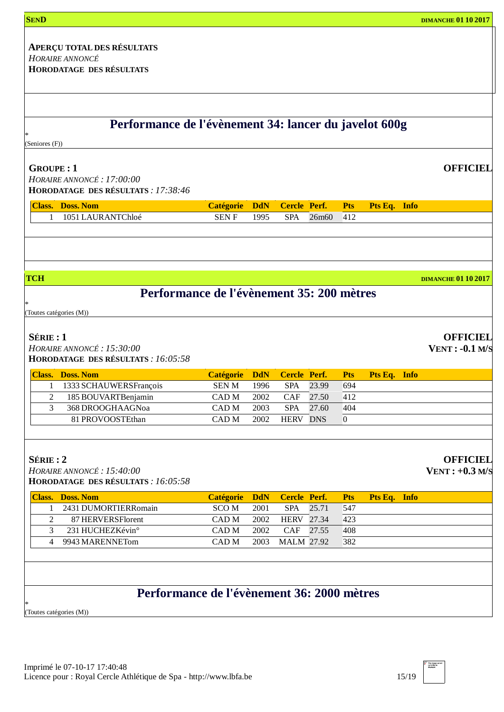| <b>SEND</b>                                                                                                                                                                                                                                       |                      |                    |                            |                   |                   |              |             | <b>DIMANCHE 01 10 2017</b>                                                 |
|---------------------------------------------------------------------------------------------------------------------------------------------------------------------------------------------------------------------------------------------------|----------------------|--------------------|----------------------------|-------------------|-------------------|--------------|-------------|----------------------------------------------------------------------------|
|                                                                                                                                                                                                                                                   |                      |                    |                            |                   |                   |              |             |                                                                            |
| <b>APERÇU TOTAL DES RÉSULTATS</b>                                                                                                                                                                                                                 |                      |                    |                            |                   |                   |              |             |                                                                            |
| HORAIRE ANNONCÉ<br><b>HORODATAGE DES RÉSULTATS</b>                                                                                                                                                                                                |                      |                    |                            |                   |                   |              |             |                                                                            |
|                                                                                                                                                                                                                                                   |                      |                    |                            |                   |                   |              |             |                                                                            |
|                                                                                                                                                                                                                                                   |                      |                    |                            |                   |                   |              |             |                                                                            |
| Performance de l'évènement 34: lancer du javelot 600g                                                                                                                                                                                             |                      |                    |                            |                   |                   |              |             |                                                                            |
| (Seniores (F))                                                                                                                                                                                                                                    |                      |                    |                            |                   |                   |              |             |                                                                            |
| <b>GROUPE: 1</b>                                                                                                                                                                                                                                  |                      |                    |                            |                   |                   |              |             | <b>OFFICIEL</b>                                                            |
| HORAIRE ANNONCÉ: 17:00:00                                                                                                                                                                                                                         |                      |                    |                            |                   |                   |              |             |                                                                            |
| HORODATAGE DES RÉSULTATS : 17:38:46                                                                                                                                                                                                               |                      |                    |                            |                   |                   |              |             |                                                                            |
| <b>Class. Doss. Nom</b>                                                                                                                                                                                                                           | <b>Catégorie</b>     | <b>DdN</b>         | <b>Cercle Perf.</b>        |                   | <b>Pts</b>        | Pts Eq. Info |             |                                                                            |
| 1051 LAURANTChloé<br>$\mathbf{1}$                                                                                                                                                                                                                 | <b>SENF</b>          | 1995               | <b>SPA</b>                 | 26m <sub>60</sub> | 412               |              |             |                                                                            |
|                                                                                                                                                                                                                                                   |                      |                    |                            |                   |                   |              |             |                                                                            |
|                                                                                                                                                                                                                                                   |                      |                    |                            |                   |                   |              |             |                                                                            |
| <b>TCH</b>                                                                                                                                                                                                                                        |                      |                    |                            |                   |                   |              |             | <b>DIMANCHE 01 10 2017</b>                                                 |
|                                                                                                                                                                                                                                                   |                      |                    |                            |                   |                   |              |             |                                                                            |
| Performance de l'évènement 35: 200 mètres                                                                                                                                                                                                         |                      |                    |                            |                   |                   |              |             |                                                                            |
|                                                                                                                                                                                                                                                   |                      |                    |                            |                   |                   |              |             |                                                                            |
|                                                                                                                                                                                                                                                   |                      |                    |                            |                   |                   |              |             |                                                                            |
| (Toutes catégories (M))                                                                                                                                                                                                                           |                      |                    |                            |                   |                   |              |             |                                                                            |
|                                                                                                                                                                                                                                                   |                      |                    |                            |                   |                   |              |             |                                                                            |
|                                                                                                                                                                                                                                                   |                      |                    |                            |                   |                   |              |             |                                                                            |
|                                                                                                                                                                                                                                                   |                      |                    |                            |                   |                   |              |             |                                                                            |
|                                                                                                                                                                                                                                                   | <b>Catégorie</b>     | <b>DdN</b>         | <b>Cercle Perf.</b>        |                   | <b>Pts</b>        | Pts Eq.      | <b>Info</b> |                                                                            |
| 1333 SCHAUWERSFrançois<br>1                                                                                                                                                                                                                       | <b>SENM</b>          | 1996               | <b>SPA</b>                 | 23.99             | 694               |              |             |                                                                            |
| $\overline{c}$<br>185 BOUVARTBenjamin                                                                                                                                                                                                             | CAD M                | 2002               | CAF                        | 27.50             | 412               |              |             |                                                                            |
| 3<br>368 DROOGHAAGNoa                                                                                                                                                                                                                             | CAD <sub>M</sub>     | 2003               | <b>SPA</b>                 | 27.60             | 404               |              |             |                                                                            |
| 81 PROVOOSTEthan                                                                                                                                                                                                                                  | CAD <sub>M</sub>     | 2002               | <b>HERV DNS</b>            |                   | $\boldsymbol{0}$  |              |             |                                                                            |
|                                                                                                                                                                                                                                                   |                      |                    |                            |                   |                   |              |             |                                                                            |
|                                                                                                                                                                                                                                                   |                      |                    |                            |                   |                   |              |             |                                                                            |
|                                                                                                                                                                                                                                                   |                      |                    |                            |                   |                   |              |             |                                                                            |
|                                                                                                                                                                                                                                                   |                      |                    |                            |                   |                   |              |             |                                                                            |
| 2431 DUMORTIERRomain<br>1                                                                                                                                                                                                                         | <b>Catégorie</b>     | <b>DdN</b><br>2001 | Cercle Perf.<br><b>SPA</b> | 25.71             | <b>Pts</b><br>547 | Pts Eq. Info |             |                                                                            |
| 87 HERVERSFlorent<br>2                                                                                                                                                                                                                            | <b>SCOM</b><br>CAD M | 2002               | <b>HERV</b>                | 27.34             | 423               |              |             |                                                                            |
| 3                                                                                                                                                                                                                                                 |                      |                    |                            |                   |                   |              |             |                                                                            |
| 231 HUCHEZKévin°<br>9943 MARENNETom<br>4                                                                                                                                                                                                          | CAD M<br>CAD M       | 2002<br>2003       | CAF<br><b>MALM 27.92</b>   | 27.55             | 408<br>382        |              |             | <b>OFFICIEL</b><br>$VENT: -0.1 M/S$<br><b>OFFICIEL</b><br>$VENT: +0.3 M/S$ |
|                                                                                                                                                                                                                                                   |                      |                    |                            |                   |                   |              |             |                                                                            |
|                                                                                                                                                                                                                                                   |                      |                    |                            |                   |                   |              |             |                                                                            |
| Performance de l'évènement 36: 2000 mètres                                                                                                                                                                                                        |                      |                    |                            |                   |                   |              |             |                                                                            |
| $S$ ÉRIE : 1<br>HORAIRE ANNONCÉ: 15:30:00<br>HORODATAGE DES RÉSULTATS : 16:05:58<br><b>Class. Doss. Nom</b><br>SÉRIE: 2<br>HORAIRE ANNONCÉ: 15:40:00<br>HORODATAGE DES RÉSULTATS : 16:05:58<br><b>Class. Doss. Nom</b><br>(Toutes catégories (M)) |                      |                    |                            |                   |                   |              |             |                                                                            |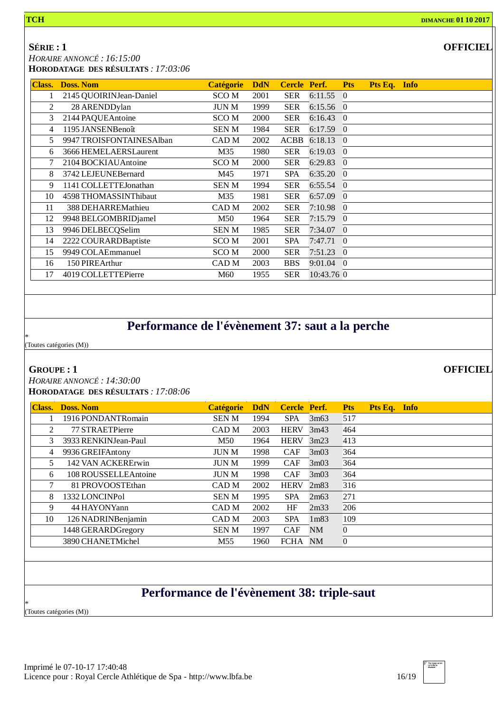### **SÉRIE : 1**

*HORAIRE ANNONCÉ : 16:15:00*

| HORODATAGE DES RÉSULTATS : 17:03:06 |  |
|-------------------------------------|--|
|                                     |  |

| Class. | <b>Doss, Nom</b>         | <b>Catégorie</b> | <b>DdN</b> | <b>Cercle Perf.</b> |             | <b>Pts</b>     | Pts Eq. Info |  |
|--------|--------------------------|------------------|------------|---------------------|-------------|----------------|--------------|--|
|        | 2145 QUOIRINJean-Daniel  | SCO M            | 2001       | <b>SER</b>          | 6:11.55     | $\overline{0}$ |              |  |
| 2      | 28 ARENDDylan            | <b>JUN M</b>     | 1999       | <b>SER</b>          | $6:15.56$ 0 |                |              |  |
| 3      | 2144 PAQUEAntoine        | SCO M            | 2000       | <b>SER</b>          | 6:16.43     | $\overline{0}$ |              |  |
| 4      | 1195 JANSENBenoît        | SEN M            | 1984       | <b>SER</b>          | $6:17.59$ 0 |                |              |  |
| 5      | 9947 TROISFONTAINESAlban | CAD M            | 2002       | <b>ACBB</b>         | 6:18.13     | $\overline{0}$ |              |  |
| 6      | 3666 HEMELAERSLaurent    | M35              | 1980       | <b>SER</b>          | 6:19.03     | $\overline{0}$ |              |  |
| 7      | 2104 BOCKIAU Antoine     | SCO M            | 2000       | <b>SER</b>          | 6:29.83     | $\overline{0}$ |              |  |
| 8      | 3742 LEJEUNEBernard      | M45              | 1971       | <b>SPA</b>          | 6:35.20     | $\theta$       |              |  |
| 9      | 1141 COLLETTEJonathan    | <b>SENM</b>      | 1994       | <b>SER</b>          | 6:55.54     | $\Omega$       |              |  |
| 10     | 4598 THOMASSINThibaut    | M35              | 1981       | <b>SER</b>          | 6:57.09     | $\theta$       |              |  |
| 11     | 388 DEHARREMathieu       | CAD M            | 2002       | <b>SER</b>          | 7:10.98     | $\Omega$       |              |  |
| 12     | 9948 BELGOMBRIDjamel     | M50              | 1964       | <b>SER</b>          | 7:15.79     | $\overline{0}$ |              |  |
| 13     | 9946 DELBECQSelim        | <b>SENM</b>      | 1985       | <b>SER</b>          | 7:34.07     | $\Omega$       |              |  |
| 14     | 2222 COURARDBaptiste     | SCO M            | 2001       | <b>SPA</b>          | 7:47.71     | $\overline{0}$ |              |  |
| 15     | 9949 COLAEmmanuel        | SCO M            | 2000       | <b>SER</b>          | 7:51.23     | $\overline{0}$ |              |  |
| 16     | 150 PIREArthur           | CAD M            | 2003       | <b>BBS</b>          | 9:01.04     | $\overline{0}$ |              |  |
| 17     | 4019 COLLETTEPierre      | M60              | 1955       | <b>SER</b>          | 10:43.76 0  |                |              |  |

# **Performance de l'évènement 37: saut a la perche**

\* (Toutes catégories (M))

#### **GROUPE : 1**

*HORAIRE ANNONCÉ : 14:30:00* **HORODATAGE DES RÉSULTATS** *: 17:08:06*

| <b>Class.</b> | <b>Doss, Nom</b>     | <b>Catégorie</b> | <b>DdN</b> | Cercle Perf. |                  | <b>Pts</b>     | Pts Eq. Info |  |
|---------------|----------------------|------------------|------------|--------------|------------------|----------------|--------------|--|
|               | 1916 PONDANTRomain   | <b>SENM</b>      | 1994       | <b>SPA</b>   | 3m63             | 517            |              |  |
| 2             | 77 STRAETPierre      | CAD <sub>M</sub> | 2003       | <b>HERV</b>  | 3m43             | 464            |              |  |
| 3             | 3933 RENKINJean-Paul | M50              | 1964       | <b>HERV</b>  | 3m23             | 413            |              |  |
| 4             | 9936 GREIFAntony     | <b>JUN M</b>     | 1998       | <b>CAF</b>   | 3m03             | 364            |              |  |
| 5             | 142 VAN ACKERErwin   | <b>JUN M</b>     | 1999       | <b>CAF</b>   | 3m03             | 364            |              |  |
| 6             | 108 ROUSSELLEAntoine | <b>JUN M</b>     | 1998       | <b>CAF</b>   | 3m03             | 364            |              |  |
| 7             | 81 PROVOOSTEthan     | CAD M            | 2002       | <b>HERV</b>  | 2m83             | 316            |              |  |
| 8             | 1332 LONCINPol       | <b>SENM</b>      | 1995       | <b>SPA</b>   | 2m63             | 271            |              |  |
| 9             | 44 HAYONYann         | CAD M            | 2002       | HF           | 2m33             | 206            |              |  |
| 10            | 126 NADRINBenjamin   | CAD M            | 2003       | <b>SPA</b>   | 1 <sub>m83</sub> | 109            |              |  |
|               | 1448 GERARDGregory   | <b>SENM</b>      | 1997       | <b>CAF</b>   | <b>NM</b>        | $\overline{0}$ |              |  |
|               | 3890 CHANETMichel    | M55              | 1960       | FCHA         | NM               | $\overline{0}$ |              |  |
|               |                      |                  |            |              |                  |                |              |  |

# **Performance de l'évènement 38: triple-saut**

\* (Toutes catégories (M))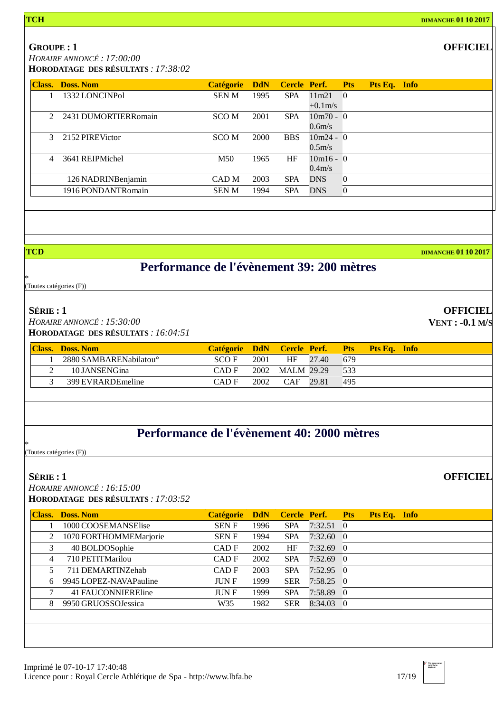### **GROUPE : 1**

*HORAIRE ANNONCÉ : 17:00:00*

| <b>Class.</b> | Doss, Nom               | <b>Catégorie</b> | <b>DdN</b> | <b>Cercle Perf.</b> |             | <b>Pts</b>     | Pts Eq. Info |  |
|---------------|-------------------------|------------------|------------|---------------------|-------------|----------------|--------------|--|
|               | 1332 LONCINPol          | <b>SENM</b>      | 1995       | <b>SPA</b>          | 11m21       | $\theta$       |              |  |
|               |                         |                  |            |                     | $+0.1$ m/s  |                |              |  |
|               | 2 2431 DUMORTIER Romain | SCO M            | 2001       | <b>SPA</b>          | $10m70 - 0$ |                |              |  |
|               |                         |                  |            |                     | 0.6m/s      |                |              |  |
| $\mathcal{E}$ | 2152 PIREVictor         | SCO M            | 2000       | <b>BBS</b>          | $10m24 - 0$ |                |              |  |
|               |                         |                  |            |                     | 0.5m/s      |                |              |  |
| 4             | 3641 REIPMichel         | M50              | 1965       | HF                  | $10m16 - 0$ |                |              |  |
|               |                         |                  |            |                     | $0.4m$ /s   |                |              |  |
|               | 126 NADRINBenjamin      | CAD M            | 2003       | <b>SPA</b>          | <b>DNS</b>  | $\overline{0}$ |              |  |
|               | 1916 PONDANTRomain      | <b>SENM</b>      | 1994       | <b>SPA</b>          | <b>DNS</b>  | $\overline{0}$ |              |  |
|               |                         |                  |            |                     |             |                |              |  |

**TCD DIMANCHE 01 10 2017**

### **Performance de l'évènement 39: 200 mètres**

\* (Toutes catégories (F))

### **SÉRIE : 1**

*HORAIRE ANNONCÉ : 15:30:00* **HORODATAGE DES RÉSULTATS** *: 16:04:51*

| <b>Class.</b> Doss. Nom            | Catégorie DdN Cercle Perf. |      |            |       | Pts <sup>1</sup> | <b>Pts Eq. Info</b> |  |
|------------------------------------|----------------------------|------|------------|-------|------------------|---------------------|--|
| 2880 SAMBARENabilatou <sup>o</sup> | SCO F                      | 2001 | <b>HF</b>  | 27.40 | 679              |                     |  |
| 10 JANSENGina                      | CAD F                      | 2002 | MALM 29.29 |       | 533              |                     |  |
| 399 EVRARDE meline                 | CAD F                      | 2002 | <b>CAF</b> | 29.81 | 495              |                     |  |

# **Performance de l'évènement 40: 2000 mètres**

\* (Toutes catégories (F))

#### **SÉRIE : 1**

*HORAIRE ANNONCÉ : 16:15:00* **HORODATAGE DES RÉSULTATS** *: 17:03:52*

| <b>Class.</b> | <b>Doss, Nom</b>       | <b>Catégorie</b> | <b>DdN</b> | Cercle Perf. |                   | <b>Pts</b>     | Pts Eq. Info |  |
|---------------|------------------------|------------------|------------|--------------|-------------------|----------------|--------------|--|
|               | 1000 COOSEMANSElise    | <b>SENF</b>      | 1996       | <b>SPA</b>   | 7:32.51           | $\theta$       |              |  |
| 2             | 1070 FORTHOMMEMarjorie | <b>SENF</b>      | 1994       | <b>SPA</b>   | $7:32.60 \quad 0$ |                |              |  |
| 3             | 40 BOLDOSophie         | CAD F            | 2002       | HF           | $7:32.69$ 0       |                |              |  |
| 4             | 710 PETITMarilou       | CAD F            | 2002       | <b>SPA</b>   | $7:52.69$ 0       |                |              |  |
|               | 711 DEMARTINZehab      | CAD F            | 2003       | <b>SPA</b>   | 7:52.95           | $\overline{0}$ |              |  |
| 6             | 9945 LOPEZ-NAVAPauline | <b>JUNF</b>      | 1999       | <b>SER</b>   | $7:58.25$ 0       |                |              |  |
|               | 41 FAUCONNIEREline     | <b>JUNF</b>      | 1999       | <b>SPA</b>   | 7:58.89 0         |                |              |  |
| 8             | 9950 GRUOSSOJessica    | W35              | 1982       | <b>SER</b>   | $8:34.03$ 0       |                |              |  |
|               |                        |                  |            |              |                   |                |              |  |
|               |                        |                  |            |              |                   |                |              |  |

**OFFICIEL**

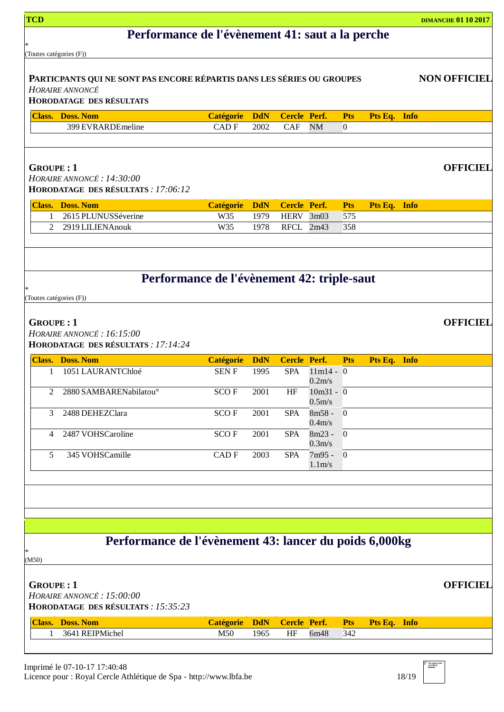| <b>TCD</b>                                      |                                                                                                  |                  |            |                     |                          |                |              |  | <b>DIMANCHE 01 10 2017</b> |
|-------------------------------------------------|--------------------------------------------------------------------------------------------------|------------------|------------|---------------------|--------------------------|----------------|--------------|--|----------------------------|
| Performance de l'évènement 41: saut a la perche |                                                                                                  |                  |            |                     |                          |                |              |  |                            |
| (Toutes catégories (F))                         |                                                                                                  |                  |            |                     |                          |                |              |  |                            |
|                                                 |                                                                                                  |                  |            |                     |                          |                |              |  |                            |
|                                                 | PARTICPANTS QUI NE SONT PAS ENCORE RÉPARTIS DANS LES SÉRIES OU GROUPES<br><b>HORAIRE ANNONCÉ</b> |                  |            |                     |                          |                |              |  | <b>NON OFFICIEL</b>        |
|                                                 | <b>HORODATAGE DES RÉSULTATS</b>                                                                  |                  |            |                     |                          |                |              |  |                            |
|                                                 | <b>Class. Doss. Nom</b>                                                                          | <b>Catégorie</b> | <b>DdN</b> | <b>Cercle Perf.</b> |                          | <b>Pts</b>     | Pts Eq. Info |  |                            |
|                                                 | 399 EVRARDEmeline                                                                                | <b>CADF</b>      | 2002       | <b>CAF</b>          | <b>NM</b>                | $\Omega$       |              |  |                            |
|                                                 |                                                                                                  |                  |            |                     |                          |                |              |  |                            |
|                                                 |                                                                                                  |                  |            |                     |                          |                |              |  |                            |
| <b>GROUPE: 1</b>                                | HORAIRE ANNONCÉ : 14:30:00                                                                       |                  |            |                     |                          |                |              |  | <b>OFFICIEL</b>            |
|                                                 | HORODATAGE DES RÉSULTATS : 17:06:12                                                              |                  |            |                     |                          |                |              |  |                            |
|                                                 | <b>Class. Doss. Nom</b>                                                                          | <b>Catégorie</b> | <b>DdN</b> | <b>Cercle Perf.</b> |                          | <b>Pts</b>     | Pts Eq. Info |  |                            |
| 1                                               | 2615 PLUNUSSéverine                                                                              | W35              | 1979       | <b>HERV</b>         | 3m03                     | 575            |              |  |                            |
| $\mathfrak{D}$                                  | 2919 LILIENAnouk                                                                                 | W35              | 1978       | RFCL 2m43           |                          | 358            |              |  |                            |
|                                                 |                                                                                                  |                  |            |                     |                          |                |              |  |                            |
|                                                 |                                                                                                  |                  |            |                     |                          |                |              |  |                            |
|                                                 | Performance de l'évènement 42: triple-saut                                                       |                  |            |                     |                          |                |              |  |                            |
| (Toutes catégories (F))                         |                                                                                                  |                  |            |                     |                          |                |              |  |                            |
|                                                 |                                                                                                  |                  |            |                     |                          |                |              |  |                            |
| <b>GROUPE: 1</b>                                |                                                                                                  |                  |            |                     |                          |                |              |  | <b>OFFICIEL</b>            |
|                                                 | HORAIRE ANNONCÉ: 16:15:00<br>HORODATAGE DES RÉSULTATS : 17:14:24                                 |                  |            |                     |                          |                |              |  |                            |
|                                                 | <b>Class. Doss. Nom</b>                                                                          | <b>Catégorie</b> | <b>DdN</b> | <b>Cercle Perf.</b> |                          | <b>Pts</b>     | Pts Eq. Info |  |                            |
| 1                                               | 1051 LAURANTChloé                                                                                | <b>SENF</b>      | 1995       | <b>SPA</b>          | $11m14 - 0$              |                |              |  |                            |
|                                                 |                                                                                                  |                  |            |                     | $0.2m$ /s<br>$10m31 - 0$ |                |              |  |                            |
| 2                                               | 2880 SAMBARENabilatou <sup>o</sup>                                                               | SCO F            | 2001       | HF                  | $0.5m$ /s                |                |              |  |                            |
| 3                                               | 2488 DEHEZClara                                                                                  | <b>SCOF</b>      | 2001       | <b>SPA</b>          | $8m58 -$                 | $\mathbf{0}$   |              |  |                            |
| $\overline{4}$                                  | 2487 VOHSCaroline                                                                                | <b>SCOF</b>      | 2001       | <b>SPA</b>          | $0.4m$ /s<br>$8m23 -$    | $\overline{0}$ |              |  |                            |
|                                                 |                                                                                                  |                  |            |                     | 0.3 <sub>m</sub> /s      |                |              |  |                            |
| 5                                               | 345 VOHSCamille                                                                                  | CAD <sub>F</sub> | 2003       | <b>SPA</b>          | $7m95 -$                 | $\overline{0}$ |              |  |                            |
|                                                 |                                                                                                  |                  |            |                     | $1.1m$ /s                |                |              |  |                            |
|                                                 |                                                                                                  |                  |            |                     |                          |                |              |  |                            |
|                                                 |                                                                                                  |                  |            |                     |                          |                |              |  |                            |
|                                                 |                                                                                                  |                  |            |                     |                          |                |              |  |                            |
|                                                 |                                                                                                  |                  |            |                     |                          |                |              |  |                            |
| *                                               | Performance de l'évènement 43: lancer du poids 6,000kg                                           |                  |            |                     |                          |                |              |  |                            |
| (M50)                                           |                                                                                                  |                  |            |                     |                          |                |              |  |                            |
|                                                 |                                                                                                  |                  |            |                     |                          |                |              |  |                            |
| <b>GROUPE: 1</b>                                | HORAIRE ANNONCÉ: 15:00:00                                                                        |                  |            |                     |                          |                |              |  | <b>OFFICIEL</b>            |
|                                                 | HORODATAGE DES RÉSULTATS : 15:35:23                                                              |                  |            |                     |                          |                |              |  |                            |
|                                                 | <b>Class. Doss. Nom</b>                                                                          | <b>Catégorie</b> | <b>DdN</b> | <b>Cercle Perf.</b> |                          | <b>Pts</b>     | Pts Eq. Info |  |                            |
| 1                                               | 3641 REIPMichel                                                                                  | M50              | 1965       | HF                  | 6m48                     | 342            |              |  |                            |
|                                                 |                                                                                                  |                  |            |                     |                          |                |              |  |                            |